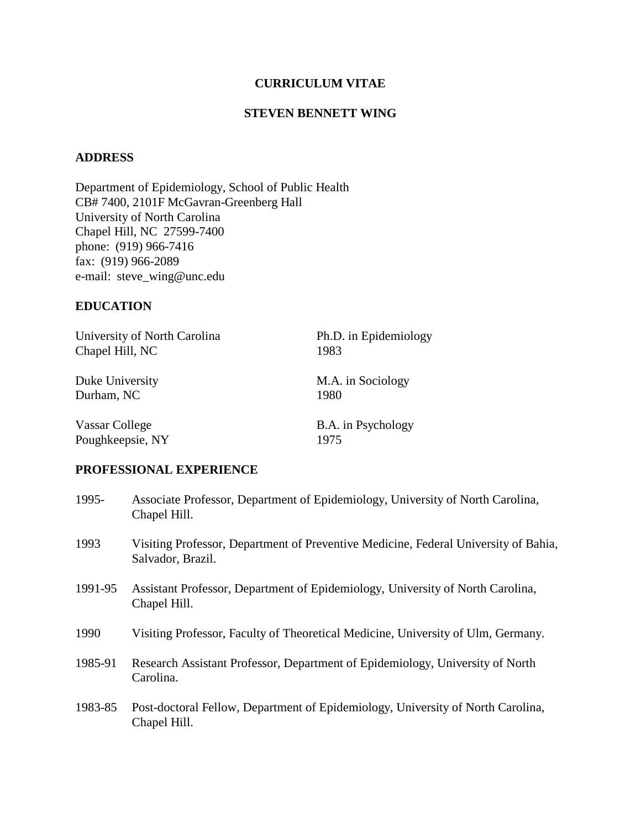## **CURRICULUM VITAE**

#### **STEVEN BENNETT WING**

## **ADDRESS**

Department of Epidemiology, School of Public Health CB# 7400, 2101F McGavran-Greenberg Hall University of North Carolina Chapel Hill, NC 27599-7400 phone: (919) 966-7416 fax: (919) 966-2089 e-mail: steve\_wing@unc.edu

#### **EDUCATION**

| University of North Carolina | Ph.D. in Epidemiology |
|------------------------------|-----------------------|
| Chapel Hill, NC              | 1983                  |
| Duke University              | M.A. in Sociology     |
| Durham, NC                   | 1980                  |
| Vassar College               | B.A. in Psychology    |
| Poughkeepsie, NY             | 1975                  |

#### **PROFESSIONAL EXPERIENCE**

| 1995-   | Associate Professor, Department of Epidemiology, University of North Carolina,<br>Chapel Hill.           |
|---------|----------------------------------------------------------------------------------------------------------|
| 1993    | Visiting Professor, Department of Preventive Medicine, Federal University of Bahia,<br>Salvador, Brazil. |
| 1991-95 | Assistant Professor, Department of Epidemiology, University of North Carolina,<br>Chapel Hill.           |
| 1990    | Visiting Professor, Faculty of Theoretical Medicine, University of Ulm, Germany.                         |
| 1985-91 | Research Assistant Professor, Department of Epidemiology, University of North<br>Carolina.               |
| 1983-85 | Post-doctoral Fellow, Department of Epidemiology, University of North Carolina,<br>Chapel Hill.          |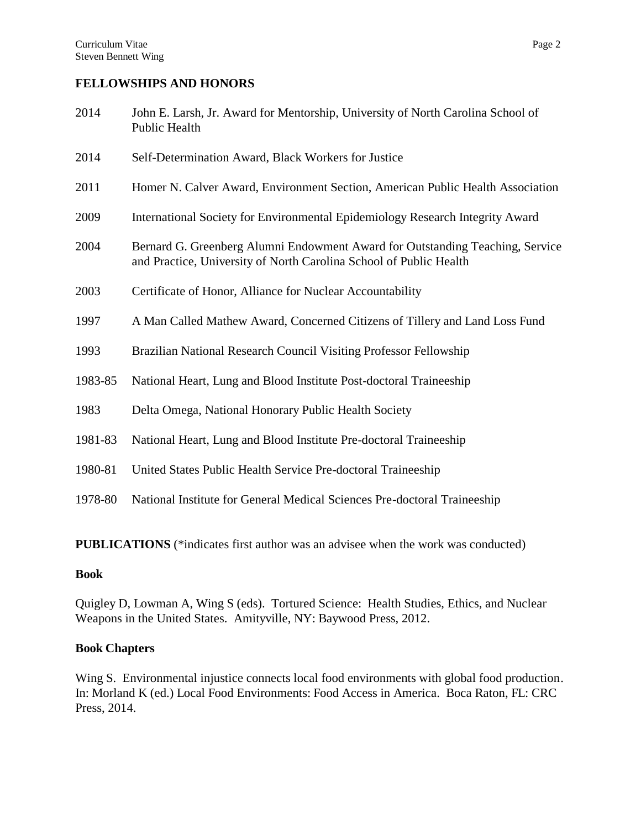#### **FELLOWSHIPS AND HONORS**

- 2014 John E. Larsh, Jr. Award for Mentorship, University of North Carolina School of Public Health
- 2014 Self-Determination Award, Black Workers for Justice
- 2011 Homer N. Calver Award, Environment Section, American Public Health Association
- 2009 International Society for Environmental Epidemiology Research Integrity Award
- 2004 Bernard G. Greenberg Alumni Endowment Award for Outstanding Teaching, Service and Practice, University of North Carolina School of Public Health
- 2003 Certificate of Honor, Alliance for Nuclear Accountability
- 1997 A Man Called Mathew Award, Concerned Citizens of Tillery and Land Loss Fund
- 1993 Brazilian National Research Council Visiting Professor Fellowship
- 1983-85 National Heart, Lung and Blood Institute Post-doctoral Traineeship
- 1983 Delta Omega, National Honorary Public Health Society
- 1981-83 National Heart, Lung and Blood Institute Pre-doctoral Traineeship
- 1980-81 United States Public Health Service Pre-doctoral Traineeship
- 1978-80 National Institute for General Medical Sciences Pre-doctoral Traineeship

**PUBLICATIONS** (\*indicates first author was an advisee when the work was conducted)

#### **Book**

Quigley D, Lowman A, Wing S (eds). Tortured Science: Health Studies, Ethics, and Nuclear Weapons in the United States. Amityville, NY: Baywood Press, 2012.

#### **Book Chapters**

Wing S. Environmental injustice connects local food environments with global food production. In: Morland K (ed.) Local Food Environments: Food Access in America. Boca Raton, FL: CRC Press, 2014.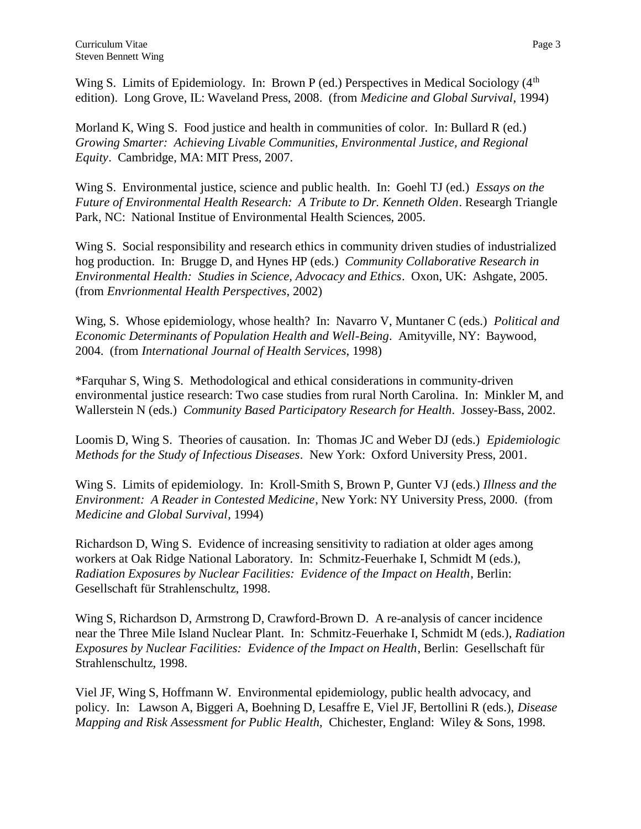Wing S. Limits of Epidemiology. In: Brown P (ed.) Perspectives in Medical Sociology  $(4<sup>th</sup>$ edition). Long Grove, IL: Waveland Press, 2008. (from *Medicine and Global Survival*, 1994)

Morland K, Wing S. Food justice and health in communities of color. In: Bullard R (ed.) *Growing Smarter: Achieving Livable Communities, Environmental Justice, and Regional Equity*. Cambridge, MA: MIT Press, 2007.

Wing S. Environmental justice, science and public health. In: Goehl TJ (ed.) *Essays on the Future of Environmental Health Research: A Tribute to Dr. Kenneth Olden*. Researgh Triangle Park, NC: National Institue of Environmental Health Sciences, 2005.

Wing S. Social responsibility and research ethics in community driven studies of industrialized hog production. In: Brugge D, and Hynes HP (eds.) *Community Collaborative Research in Environmental Health: Studies in Science, Advocacy and Ethics*. Oxon, UK: Ashgate, 2005. (from *Envrionmental Health Perspectives*, 2002)

Wing, S. Whose epidemiology, whose health? In: Navarro V, Muntaner C (eds.) *Political and Economic Determinants of Population Health and Well-Being*. Amityville, NY: Baywood, 2004. (from *International Journal of Health Services*, 1998)

\*Farquhar S, Wing S. Methodological and ethical considerations in community-driven environmental justice research: Two case studies from rural North Carolina. In: Minkler M, and Wallerstein N (eds.) *Community Based Participatory Research for Health*. Jossey-Bass, 2002.

Loomis D, Wing S. Theories of causation. In: Thomas JC and Weber DJ (eds.) *Epidemiologic Methods for the Study of Infectious Diseases*. New York: Oxford University Press, 2001.

Wing S. Limits of epidemiology. In: Kroll-Smith S, Brown P, Gunter VJ (eds.) *Illness and the Environment: A Reader in Contested Medicine*, New York: NY University Press, 2000. (from *Medicine and Global Survival*, 1994)

Richardson D, Wing S. Evidence of increasing sensitivity to radiation at older ages among workers at Oak Ridge National Laboratory. In: Schmitz-Feuerhake I, Schmidt M (eds.), *Radiation Exposures by Nuclear Facilities: Evidence of the Impact on Health*, Berlin: Gesellschaft für Strahlenschultz, 1998.

Wing S, Richardson D, Armstrong D, Crawford-Brown D. A re-analysis of cancer incidence near the Three Mile Island Nuclear Plant. In: Schmitz-Feuerhake I, Schmidt M (eds.), *Radiation Exposures by Nuclear Facilities: Evidence of the Impact on Health*, Berlin: Gesellschaft für Strahlenschultz, 1998.

Viel JF, Wing S, Hoffmann W. Environmental epidemiology, public health advocacy, and policy. In:Lawson A, Biggeri A, Boehning D, Lesaffre E, Viel JF, Bertollini R (eds.), *Disease Mapping and Risk Assessment for Public Health*, Chichester, England: Wiley & Sons, 1998.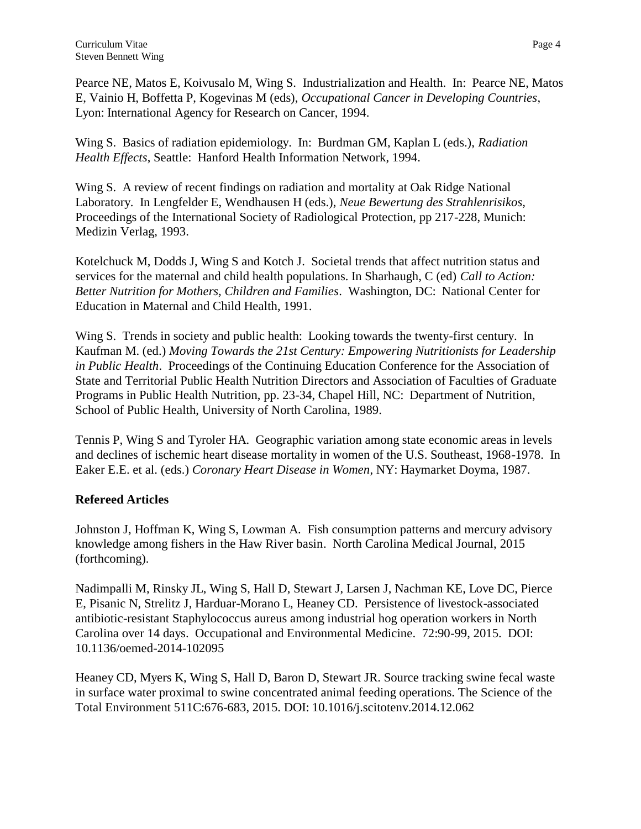Pearce NE, Matos E, Koivusalo M, Wing S. Industrialization and Health. In: Pearce NE, Matos E, Vainio H, Boffetta P, Kogevinas M (eds), *Occupational Cancer in Developing Countries*, Lyon: International Agency for Research on Cancer, 1994.

Wing S. Basics of radiation epidemiology. In: Burdman GM, Kaplan L (eds.), *Radiation Health Effects*, Seattle: Hanford Health Information Network, 1994.

Wing S. A review of recent findings on radiation and mortality at Oak Ridge National Laboratory. In Lengfelder E, Wendhausen H (eds.), *Neue Bewertung des Strahlenrisikos,* Proceedings of the International Society of Radiological Protection, pp 217-228, Munich: Medizin Verlag, 1993.

Kotelchuck M, Dodds J, Wing S and Kotch J. Societal trends that affect nutrition status and services for the maternal and child health populations. In Sharhaugh, C (ed) *Call to Action: Better Nutrition for Mothers, Children and Families*. Washington, DC: National Center for Education in Maternal and Child Health, 1991.

Wing S. Trends in society and public health: Looking towards the twenty-first century. In Kaufman M. (ed.) *Moving Towards the 21st Century: Empowering Nutritionists for Leadership in Public Health*. Proceedings of the Continuing Education Conference for the Association of State and Territorial Public Health Nutrition Directors and Association of Faculties of Graduate Programs in Public Health Nutrition, pp. 23-34, Chapel Hill, NC: Department of Nutrition, School of Public Health, University of North Carolina, 1989.

Tennis P, Wing S and Tyroler HA. Geographic variation among state economic areas in levels and declines of ischemic heart disease mortality in women of the U.S. Southeast, 1968-1978. In Eaker E.E. et al. (eds.) *Coronary Heart Disease in Women*, NY: Haymarket Doyma, 1987.

# **Refereed Articles**

Johnston J, Hoffman K, Wing S, Lowman A. Fish consumption patterns and mercury advisory knowledge among fishers in the Haw River basin. North Carolina Medical Journal, 2015 (forthcoming).

Nadimpalli M, Rinsky JL, Wing S, Hall D, Stewart J, Larsen J, Nachman KE, Love DC, Pierce E, Pisanic N, Strelitz J, Harduar-Morano L, Heaney CD. Persistence of livestock-associated antibiotic-resistant Staphylococcus aureus among industrial hog operation workers in North Carolina over 14 days. Occupational and Environmental Medicine. 72:90-99, 2015. DOI: 10.1136/oemed-2014-102095

Heaney CD, Myers K, Wing S, Hall D, Baron D, Stewart JR. Source tracking swine fecal waste in surface water proximal to swine concentrated animal feeding operations. The Science of the Total Environment 511C:676-683, 2015. DOI: 10.1016/j.scitotenv.2014.12.062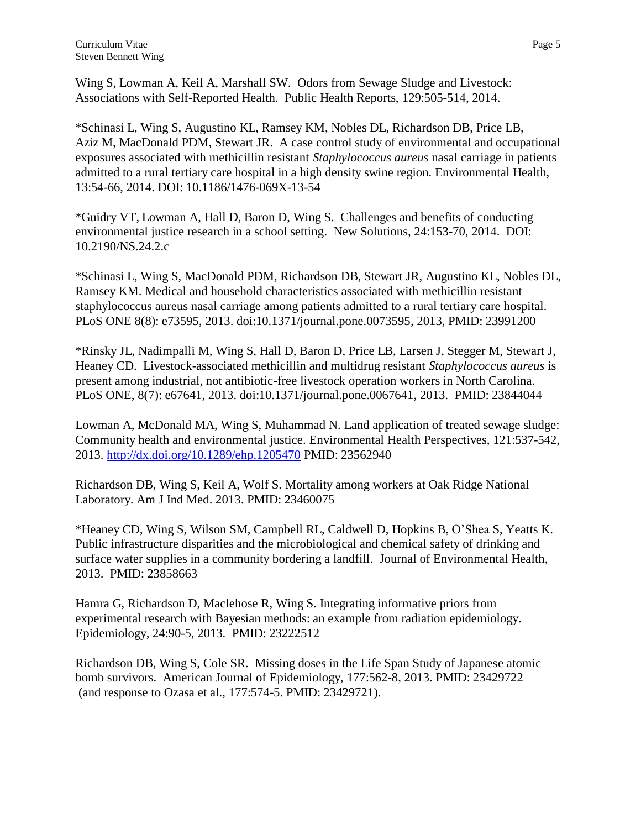Wing S, Lowman A, Keil A, Marshall SW. Odors from Sewage Sludge and Livestock: Associations with Self-Reported Health. Public Health Reports, 129:505-514, 2014.

\*Schinasi L, Wing S, Augustino KL, Ramsey KM, Nobles DL, Richardson DB, Price LB, Aziz M, MacDonald PDM, Stewart JR. A case control study of environmental and occupational exposures associated with methicillin resistant *Staphylococcus aureus* nasal carriage in patients admitted to a rural tertiary care hospital in a high density swine region. Environmental Health, 13:54-66, 2014. DOI: 10.1186/1476-069X-13-54

\*Guidry VT, Lowman A, Hall D, Baron D, Wing S. Challenges and benefits of conducting environmental justice research in a school setting. New Solutions, 24:153-70, 2014. DOI: 10.2190/NS.24.2.c

\*Schinasi L, Wing S, MacDonald PDM, Richardson DB, Stewart JR, Augustino KL, Nobles DL, Ramsey KM. Medical and household characteristics associated with methicillin resistant staphylococcus aureus nasal carriage among patients admitted to a rural tertiary care hospital. PLoS ONE 8(8): e73595, 2013. doi:10.1371/journal.pone.0073595, 2013, PMID: 23991200

\*Rinsky JL, Nadimpalli M, Wing S, Hall D, Baron D, Price LB, Larsen J, Stegger M, Stewart J, Heaney CD. Livestock-associated methicillin and multidrug resistant *Staphylococcus aureus* is present among industrial, not antibiotic-free livestock operation workers in North Carolina. PLoS ONE, 8(7): e67641, 2013. doi:10.1371/journal.pone.0067641, 2013. PMID: 23844044

Lowman A, McDonald MA, Wing S, Muhammad N. Land application of treated sewage sludge: Community health and environmental justice. Environmental Health Perspectives, 121:537-542, 2013.<http://dx.doi.org/10.1289/ehp.1205470> PMID: 23562940

Richardson DB, Wing S, Keil A, Wolf S. Mortality among workers at Oak Ridge National Laboratory. Am J Ind Med. 2013. PMID: 23460075

\*Heaney CD, Wing S, Wilson SM, Campbell RL, Caldwell D, Hopkins B, O'Shea S, Yeatts K. Public infrastructure disparities and the microbiological and chemical safety of drinking and surface water supplies in a community bordering a landfill. Journal of Environmental Health, 2013. PMID: 23858663

Hamra G, Richardson D, Maclehose R, Wing S. Integrating informative priors from experimental research with Bayesian methods: an example from radiation epidemiology. Epidemiology, 24:90-5, 2013. PMID: 23222512

Richardson DB, Wing S, Cole SR. Missing doses in the Life Span Study of Japanese atomic bomb survivors. American Journal of Epidemiology, 177:562-8, 2013. PMID: 23429722 (and response to Ozasa et al., 177:574-5. PMID: 23429721).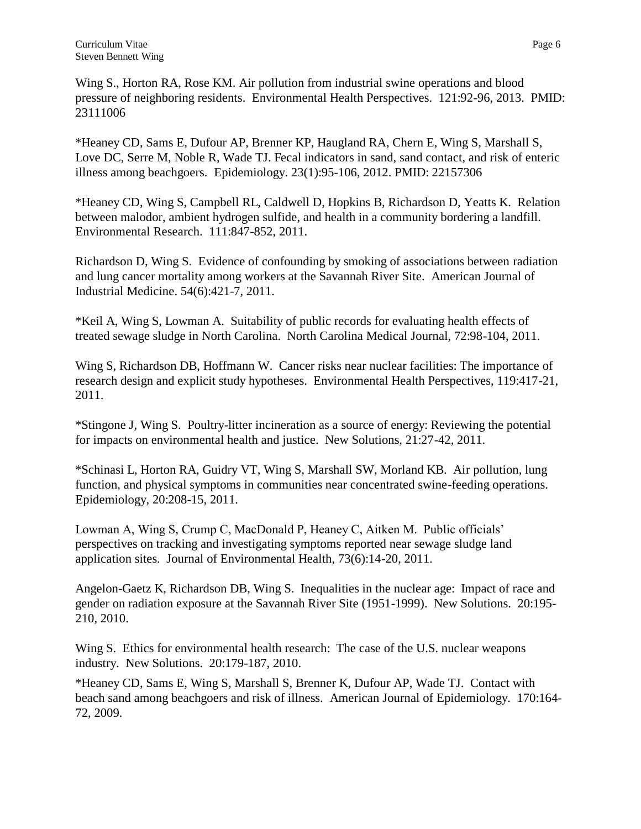Wing S., Horton RA, Rose KM. Air pollution from industrial swine operations and blood pressure of neighboring residents. Environmental Health Perspectives. 121:92-96, 2013. PMID: 23111006

\*Heaney CD, Sams E, Dufour AP, Brenner KP, Haugland RA, Chern E, Wing S, Marshall S, Love DC, Serre M, Noble R, Wade TJ. Fecal indicators in sand, sand contact, and risk of enteric illness among beachgoers. Epidemiology. 23(1):95-106, 2012. PMID: 22157306

\*Heaney CD, Wing S, Campbell RL, Caldwell D, Hopkins B, Richardson D, Yeatts K. Relation between malodor, ambient hydrogen sulfide, and health in a community bordering a landfill. Environmental Research. 111:847-852, 2011.

Richardson D, Wing S. Evidence of confounding by smoking of associations between radiation and lung cancer mortality among workers at the Savannah River Site. American Journal of Industrial Medicine. 54(6):421-7, 2011.

\*Keil A, Wing S, Lowman A. Suitability of public records for evaluating health effects of treated sewage sludge in North Carolina. North Carolina Medical Journal, 72:98-104, 2011.

Wing S, Richardson DB, Hoffmann W. Cancer risks near nuclear facilities: The importance of research design and explicit study hypotheses. Environmental Health Perspectives, 119:417-21, 2011.

\*Stingone J, Wing S. Poultry-litter incineration as a source of energy: Reviewing the potential for impacts on environmental health and justice. New Solutions, 21:27-42, 2011.

\*Schinasi L, Horton RA, Guidry VT, Wing S, Marshall SW, Morland KB. Air pollution, lung function, and physical symptoms in communities near concentrated swine-feeding operations. Epidemiology, 20:208-15, 2011.

Lowman A, Wing S, Crump C, MacDonald P, Heaney C, Aitken M. Public officials' perspectives on tracking and investigating symptoms reported near sewage sludge land application sites. Journal of Environmental Health, 73(6):14-20, 2011.

Angelon-Gaetz K, Richardson DB, Wing S. Inequalities in the nuclear age: Impact of race and gender on radiation exposure at the Savannah River Site (1951-1999). New Solutions. 20:195- 210, 2010.

Wing S. Ethics for environmental health research: The case of the U.S. nuclear weapons industry. New Solutions. 20:179-187, 2010.

[\\*Heaney CD,](http://www.ncbi.nlm.nih.gov.libproxy.lib.unc.edu/pubmed?term=%22Heaney%20CD%22%5BAuthor%5D) [Sams E,](http://www.ncbi.nlm.nih.gov.libproxy.lib.unc.edu/pubmed?term=%22Sams%20E%22%5BAuthor%5D) [Wing S,](http://www.ncbi.nlm.nih.gov.libproxy.lib.unc.edu/pubmed?term=%22Wing%20S%22%5BAuthor%5D) [Marshall S,](http://www.ncbi.nlm.nih.gov.libproxy.lib.unc.edu/pubmed?term=%22Marshall%20S%22%5BAuthor%5D) [Brenner K,](http://www.ncbi.nlm.nih.gov.libproxy.lib.unc.edu/pubmed?term=%22Brenner%20K%22%5BAuthor%5D) [Dufour AP,](http://www.ncbi.nlm.nih.gov.libproxy.lib.unc.edu/pubmed?term=%22Dufour%20AP%22%5BAuthor%5D) [Wade TJ.](http://www.ncbi.nlm.nih.gov.libproxy.lib.unc.edu/pubmed?term=%22Wade%20TJ%22%5BAuthor%5D) Contact with beach sand among beachgoers and risk of illness. American Journal of Epidemiology. 170:164- 72, 2009.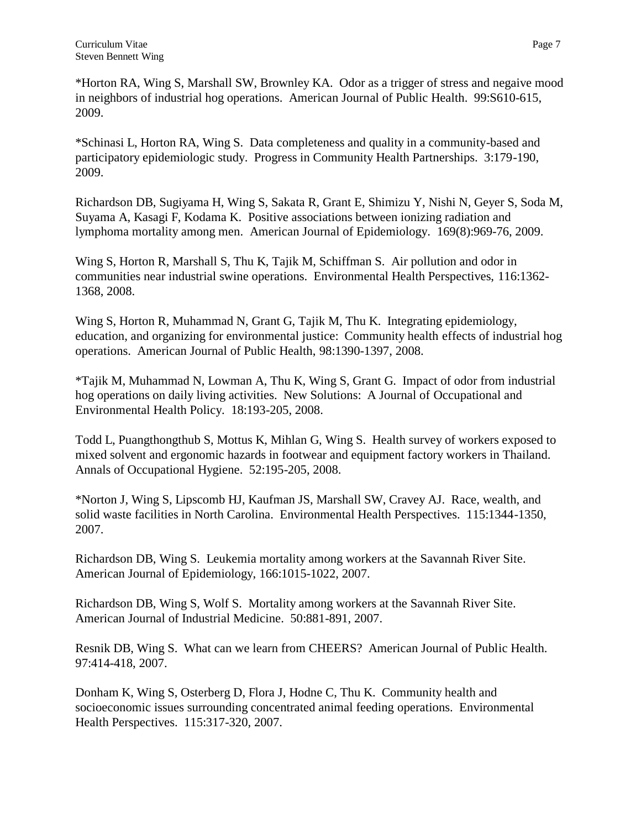\*Horton RA, Wing S, Marshall SW, Brownley KA. Odor as a trigger of stress and negaive mood in neighbors of industrial hog operations. American Journal of Public Health. 99:S610-615, 2009.

\*Schinasi L, Horton RA, Wing S. Data completeness and quality in a community-based and participatory epidemiologic study. Progress in Community Health Partnerships. 3:179-190, 2009.

Richardson DB, Sugiyama H, Wing S, Sakata R, Grant E, Shimizu Y, Nishi N, Geyer S, Soda M, Suyama A, Kasagi F, Kodama K. [Positive associations between ionizing radiation and](http://www.ncbi.nlm.nih.gov.libproxy.lib.unc.edu/pubmed/19270049?ordinalpos=1&itool=EntrezSystem2.PEntrez.Pubmed.Pubmed_ResultsPanel.Pubmed_DefaultReportPanel.Pubmed_RVDocSum)  [lymphoma mortality among men.](http://www.ncbi.nlm.nih.gov.libproxy.lib.unc.edu/pubmed/19270049?ordinalpos=1&itool=EntrezSystem2.PEntrez.Pubmed.Pubmed_ResultsPanel.Pubmed_DefaultReportPanel.Pubmed_RVDocSum) American Journal of Epidemiology. 169(8):969-76, 2009.

Wing S, Horton R, Marshall S, Thu K, Tajik M, Schiffman S. Air pollution and odor in communities near industrial swine operations. Environmental Health Perspectives, 116:1362- 1368, 2008.

Wing S, Horton R, Muhammad N, Grant G, Tajik M, Thu K. Integrating epidemiology, education, and organizing for environmental justice: Community health effects of industrial hog operations. American Journal of Public Health, 98:1390-1397, 2008.

\*Tajik M, Muhammad N, Lowman A, Thu K, Wing S, Grant G. Impact of odor from industrial hog operations on daily living activities. New Solutions: A Journal of Occupational and Environmental Health Policy. 18:193-205, 2008.

Todd L, Puangthongthub S, Mottus K, Mihlan G, Wing S. Health survey of workers exposed to mixed solvent and ergonomic hazards in footwear and equipment factory workers in Thailand. Annals of Occupational Hygiene. 52:195-205, 2008.

\*Norton J, Wing S, Lipscomb HJ, Kaufman JS, Marshall SW, Cravey AJ. Race, wealth, and solid waste facilities in North Carolina. Environmental Health Perspectives. 115:1344-1350, 2007.

Richardson DB, Wing S. Leukemia mortality among workers at the Savannah River Site. American Journal of Epidemiology, 166:1015-1022, 2007.

Richardson DB, Wing S, Wolf S. Mortality among workers at the Savannah River Site. American Journal of Industrial Medicine. 50:881-891, 2007.

Resnik DB, Wing S. What can we learn from CHEERS? American Journal of Public Health. 97:414-418, 2007.

Donham K, Wing S, Osterberg D, Flora J, Hodne C, Thu K. Community health and socioeconomic issues surrounding concentrated animal feeding operations. Environmental Health Perspectives. 115:317-320, 2007.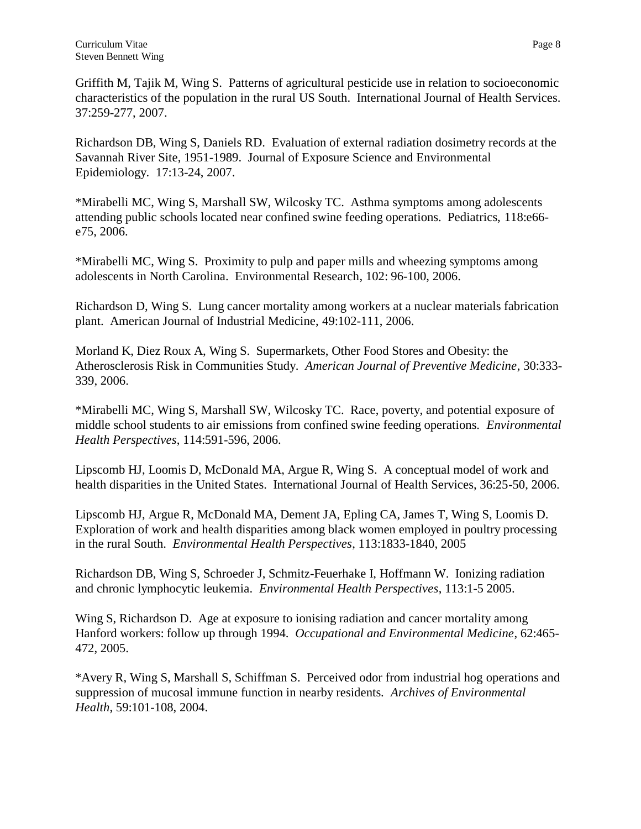Griffith M, Tajik M, Wing S. Patterns of agricultural pesticide use in relation to socioeconomic characteristics of the population in the rural US South. International Journal of Health Services. 37:259-277, 2007.

Richardson DB, Wing S, Daniels RD. Evaluation of external radiation dosimetry records at the Savannah River Site, 1951-1989. Journal of Exposure Science and Environmental Epidemiology. 17:13-24, 2007.

\*Mirabelli MC, Wing S, Marshall SW, Wilcosky TC. Asthma symptoms among adolescents attending public schools located near confined swine feeding operations. Pediatrics, 118:e66 e75, 2006.

\*Mirabelli MC, Wing S. Proximity to pulp and paper mills and wheezing symptoms among adolescents in North Carolina. Environmental Research, 102: 96-100, 2006.

Richardson D, Wing S. Lung cancer mortality among workers at a nuclear materials fabrication plant. American Journal of Industrial Medicine, 49:102-111, 2006.

Morland K, Diez Roux A, Wing S. Supermarkets, Other Food Stores and Obesity: the Atherosclerosis Risk in Communities Study. *American Journal of Preventive Medicine*, 30:333- 339, 2006.

\*Mirabelli MC, Wing S, Marshall SW, Wilcosky TC. Race, poverty, and potential exposure of middle school students to air emissions from confined swine feeding operations. *Environmental Health Perspectives*, 114:591-596, 2006.

Lipscomb HJ, Loomis D, McDonald MA, Argue R, Wing S. A conceptual model of work and health disparities in the United States. International Journal of Health Services, 36:25-50, 2006.

Lipscomb HJ, Argue R, McDonald MA, Dement JA, Epling CA, James T, Wing S, Loomis D. Exploration of work and health disparities among black women employed in poultry processing in the rural South. *Environmental Health Perspectives*, 113:1833-1840, 2005

Richardson DB, Wing S, Schroeder J, Schmitz-Feuerhake I, Hoffmann W. Ionizing radiation and chronic lymphocytic leukemia. *Environmental Health Perspectives*, 113:1-5 2005.

Wing S, Richardson D. Age at exposure to ionising radiation and cancer mortality among Hanford workers: follow up through 1994. *Occupational and Environmental Medicine*, 62:465- 472, 2005.

\*Avery R, Wing S, Marshall S, Schiffman S. Perceived odor from industrial hog operations and suppression of mucosal immune function in nearby residents. *Archives of Environmental Health*, 59:101-108, 2004.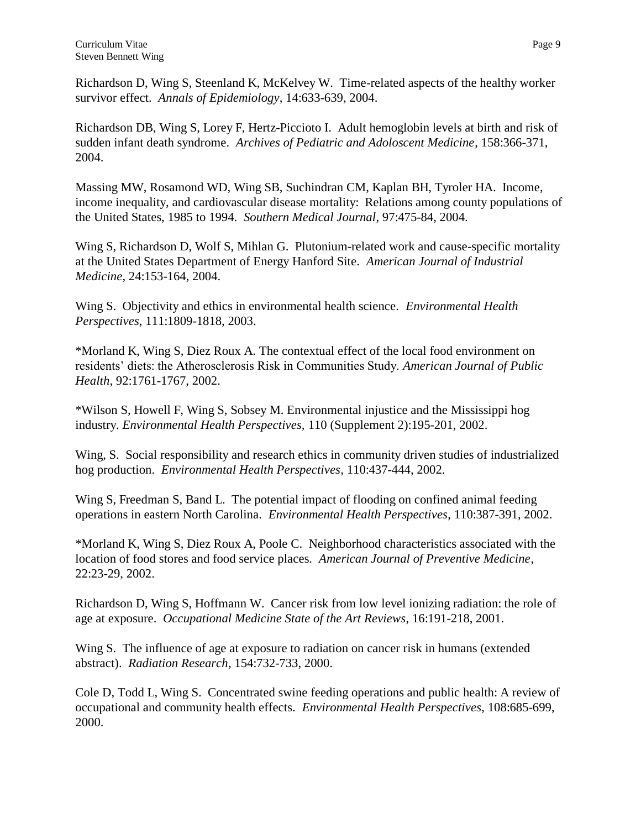Richardson D, Wing S, Steenland K, McKelvey W. Time-related aspects of the healthy worker survivor effect. *Annals of Epidemiology*, 14:633-639, 2004.

Richardson DB, Wing S, Lorey F, Hertz-Piccioto I. Adult hemoglobin levels at birth and risk of sudden infant death syndrome. *Archives of Pediatric and Adoloscent Medicine*, 158:366-371, 2004.

Massing MW, Rosamond WD, Wing SB, Suchindran CM, Kaplan BH, Tyroler HA. Income, income inequality, and cardiovascular disease mortality: Relations among county populations of the United States, 1985 to 1994. *Southern Medical Journal*, 97:475-84, 2004.

Wing S, Richardson D, Wolf S, Mihlan G. Plutonium-related work and cause-specific mortality at the United States Department of Energy Hanford Site. *American Journal of Industrial Medicine*, 24:153-164, 2004.

Wing S. Objectivity and ethics in environmental health science. *Environmental Health Perspectives*, 111:1809-1818, 2003.

\*Morland K, Wing S, Diez Roux A. The contextual effect of the local food environment on residents' diets: the Atherosclerosis Risk in Communities Study. *American Journal of Public Health*, 92:1761-1767, 2002.

\*Wilson S, Howell F, Wing S, Sobsey M. Environmental injustice and the Mississippi hog industry. *Environmental Health Perspectives,* 110 (Supplement 2):195-201, 2002.

Wing, S. Social responsibility and research ethics in community driven studies of industrialized hog production. *Environmental Health Perspectives*, 110:437-444, 2002.

Wing S, Freedman S, Band L. The potential impact of flooding on confined animal feeding operations in eastern North Carolina. *Environmental Health Perspectives*, 110:387-391, 2002.

\*Morland K, Wing S, Diez Roux A, Poole C. Neighborhood characteristics associated with the location of food stores and food service places. *American Journal of Preventive Medicine*, 22:23-29, 2002.

Richardson D, Wing S, Hoffmann W. Cancer risk from low level ionizing radiation: the role of age at exposure. *Occupational Medicine State of the Art Reviews*, 16:191-218, 2001.

Wing S. The influence of age at exposure to radiation on cancer risk in humans (extended abstract). *Radiation Research*, 154:732-733, 2000.

Cole D, Todd L, Wing S. Concentrated swine feeding operations and public health: A review of occupational and community health effects. *Environmental Health Perspectives*, 108:685-699, 2000.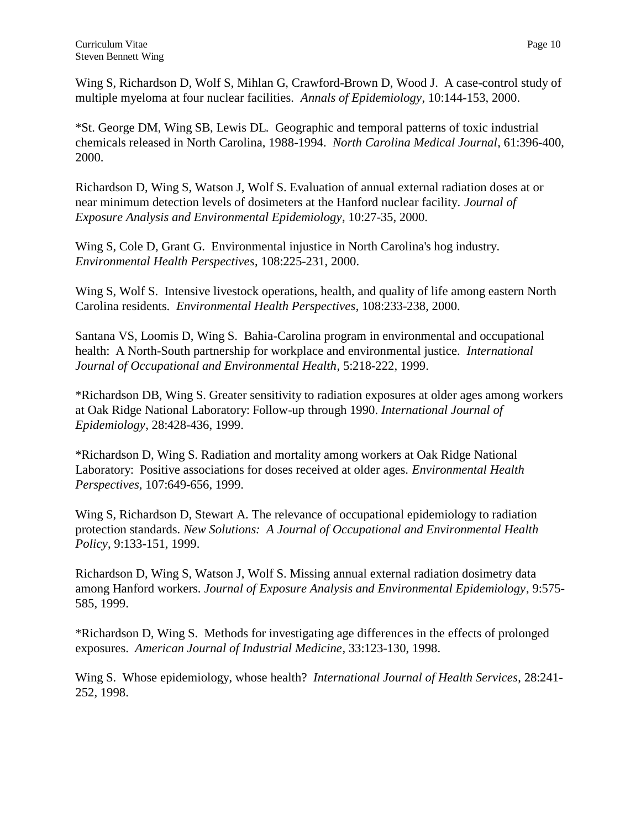Wing S, Richardson D, Wolf S, Mihlan G, Crawford-Brown D, Wood J. A case-control study of multiple myeloma at four nuclear facilities. *Annals of Epidemiology*, 10:144-153, 2000.

\*St. George DM, Wing SB, Lewis DL. Geographic and temporal patterns of toxic industrial chemicals released in North Carolina, 1988-1994. *North Carolina Medical Journal*, 61:396-400, 2000.

Richardson D, Wing S, Watson J, Wolf S. Evaluation of annual external radiation doses at or near minimum detection levels of dosimeters at the Hanford nuclear facility. *Journal of Exposure Analysis and Environmental Epidemiology*, 10:27-35, 2000.

Wing S, Cole D, Grant G. Environmental injustice in North Carolina's hog industry. *Environmental Health Perspectives*, 108:225-231, 2000.

Wing S, Wolf S. Intensive livestock operations, health, and quality of life among eastern North Carolina residents. *Environmental Health Perspectives*, 108:233-238, 2000.

Santana VS, Loomis D, Wing S. Bahia-Carolina program in environmental and occupational health: A North-South partnership for workplace and environmental justice. *International Journal of Occupational and Environmental Health*, 5:218-222, 1999.

\*Richardson DB, Wing S. Greater sensitivity to radiation exposures at older ages among workers at Oak Ridge National Laboratory: Follow-up through 1990. *International Journal of Epidemiology*, 28:428-436, 1999.

\*Richardson D, Wing S. Radiation and mortality among workers at Oak Ridge National Laboratory: Positive associations for doses received at older ages. *Environmental Health Perspectives*, 107:649-656, 1999.

Wing S, Richardson D, Stewart A. The relevance of occupational epidemiology to radiation protection standards. *New Solutions: A Journal of Occupational and Environmental Health Policy*, 9:133-151, 1999.

Richardson D, Wing S, Watson J, Wolf S. Missing annual external radiation dosimetry data among Hanford workers. *Journal of Exposure Analysis and Environmental Epidemiology*, 9:575- 585, 1999.

\*Richardson D, Wing S. Methods for investigating age differences in the effects of prolonged exposures. *American Journal of Industrial Medicine*, 33:123-130, 1998.

Wing S. Whose epidemiology, whose health? *International Journal of Health Services*, 28:241- 252, 1998.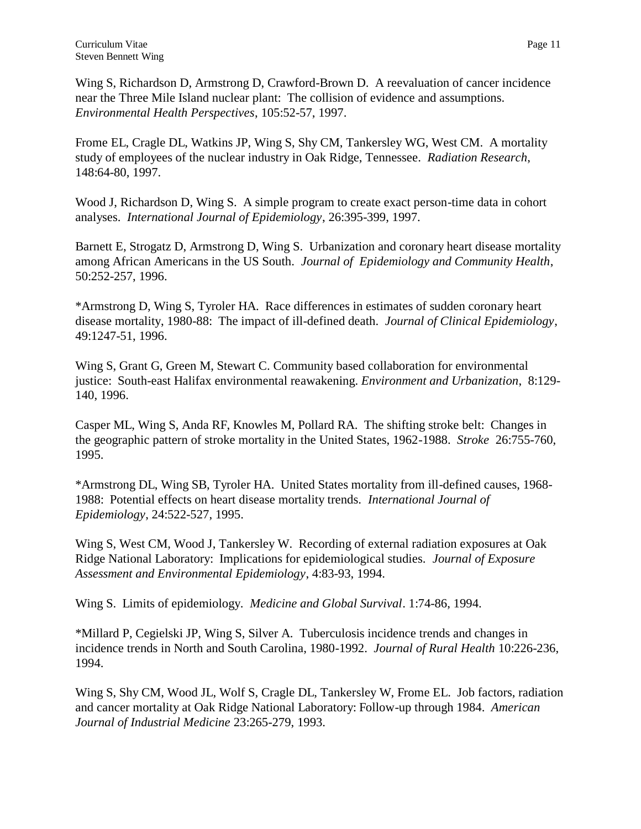Wing S, Richardson D, Armstrong D, Crawford-Brown D. A reevaluation of cancer incidence near the Three Mile Island nuclear plant: The collision of evidence and assumptions. *Environmental Health Perspectives*, 105:52-57, 1997.

Frome EL, Cragle DL, Watkins JP, Wing S, Shy CM, Tankersley WG, West CM. A mortality study of employees of the nuclear industry in Oak Ridge, Tennessee. *Radiation Research*, 148:64-80, 1997.

Wood J, Richardson D, Wing S. A simple program to create exact person-time data in cohort analyses. *International Journal of Epidemiology*, 26:395-399, 1997.

Barnett E, Strogatz D, Armstrong D, Wing S. Urbanization and coronary heart disease mortality among African Americans in the US South. *Journal of Epidemiology and Community Health*, 50:252-257, 1996.

\*Armstrong D, Wing S, Tyroler HA. Race differences in estimates of sudden coronary heart disease mortality, 1980-88: The impact of ill-defined death. *Journal of Clinical Epidemiology*, 49:1247-51, 1996.

Wing S, Grant G, Green M, Stewart C. Community based collaboration for environmental justice: South-east Halifax environmental reawakening. *Environment and Urbanization*, 8:129- 140, 1996.

Casper ML, Wing S, Anda RF, Knowles M, Pollard RA. The shifting stroke belt: Changes in the geographic pattern of stroke mortality in the United States, 1962-1988. *Stroke* 26:755-760, 1995.

\*Armstrong DL, Wing SB, Tyroler HA. United States mortality from ill-defined causes, 1968- 1988: Potential effects on heart disease mortality trends. *International Journal of Epidemiology*, 24:522-527, 1995.

Wing S, West CM, Wood J, Tankersley W. Recording of external radiation exposures at Oak Ridge National Laboratory: Implications for epidemiological studies. *Journal of Exposure Assessment and Environmental Epidemiology*, 4:83-93, 1994.

Wing S. Limits of epidemiology. *Medicine and Global Survival*. 1:74-86, 1994.

\*Millard P, Cegielski JP, Wing S, Silver A. Tuberculosis incidence trends and changes in incidence trends in North and South Carolina, 1980-1992. *Journal of Rural Health* 10:226-236, 1994.

Wing S, Shy CM, Wood JL, Wolf S, Cragle DL, Tankersley W, Frome EL. Job factors, radiation and cancer mortality at Oak Ridge National Laboratory: Follow-up through 1984. *American Journal of Industrial Medicine* 23:265-279, 1993.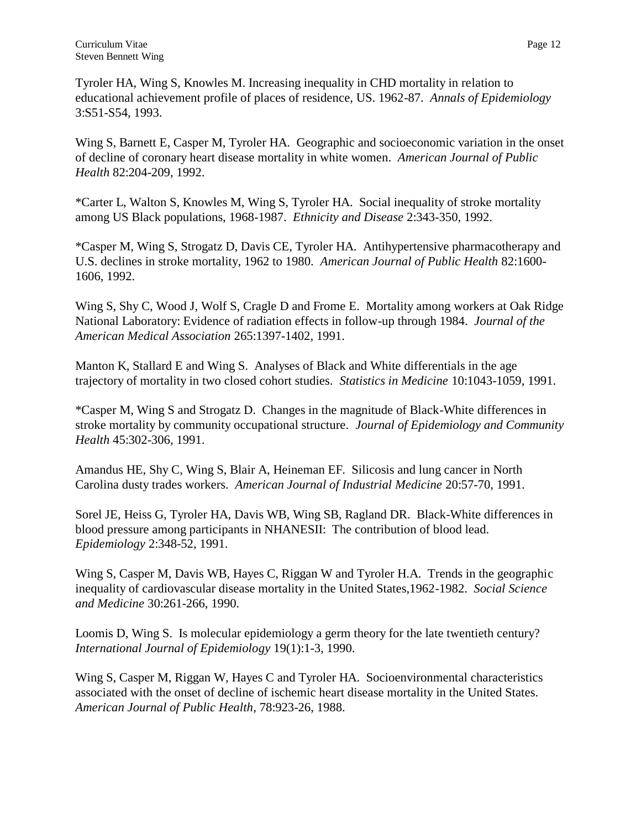Tyroler HA, Wing S, Knowles M. Increasing inequality in CHD mortality in relation to educational achievement profile of places of residence, US. 1962-87. *Annals of Epidemiology* 3:S51-S54, 1993.

Wing S, Barnett E, Casper M, Tyroler HA. Geographic and socioeconomic variation in the onset of decline of coronary heart disease mortality in white women. *American Journal of Public Health* 82:204-209, 1992.

\*Carter L, Walton S, Knowles M, Wing S, Tyroler HA. Social inequality of stroke mortality among US Black populations, 1968-1987. *Ethnicity and Disease* 2:343-350, 1992.

\*Casper M, Wing S, Strogatz D, Davis CE, Tyroler HA. Antihypertensive pharmacotherapy and U.S. declines in stroke mortality, 1962 to 1980. *American Journal of Public Health* 82:1600- 1606, 1992.

Wing S, Shy C, Wood J, Wolf S, Cragle D and Frome E. Mortality among workers at Oak Ridge National Laboratory: Evidence of radiation effects in follow-up through 1984. *Journal of the American Medical Association* 265:1397-1402, 1991.

Manton K, Stallard E and Wing S. Analyses of Black and White differentials in the age trajectory of mortality in two closed cohort studies. *Statistics in Medicine* 10:1043-1059, 1991.

\*Casper M, Wing S and Strogatz D. Changes in the magnitude of Black-White differences in stroke mortality by community occupational structure. *Journal of Epidemiology and Community Health* 45:302-306, 1991.

Amandus HE, Shy C, Wing S, Blair A, Heineman EF. Silicosis and lung cancer in North Carolina dusty trades workers. *American Journal of Industrial Medicine* 20:57-70, 1991.

Sorel JE, Heiss G, Tyroler HA, Davis WB, Wing SB, Ragland DR. Black-White differences in blood pressure among participants in NHANESII: The contribution of blood lead. *Epidemiology* 2:348-52, 1991.

Wing S, Casper M, Davis WB, Hayes C, Riggan W and Tyroler H.A. Trends in the geographic inequality of cardiovascular disease mortality in the United States,1962-1982. *Social Science and Medicine* 30:261-266, 1990.

Loomis D, Wing S. Is molecular epidemiology a germ theory for the late twentieth century? *International Journal of Epidemiology* 19(1):1-3, 1990.

Wing S, Casper M, Riggan W, Hayes C and Tyroler HA. Socioenvironmental characteristics associated with the onset of decline of ischemic heart disease mortality in the United States. *American Journal of Public Health*, 78:923-26, 1988.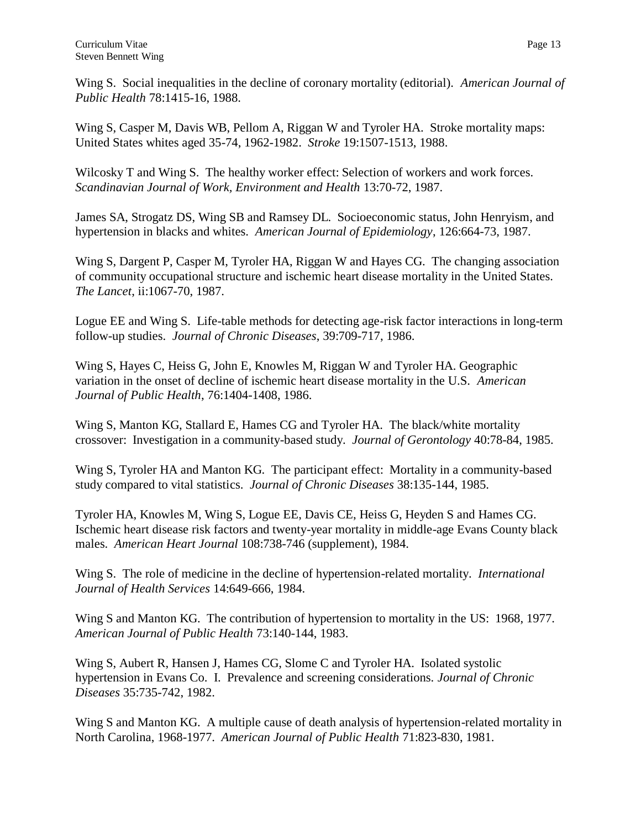Wing S. Social inequalities in the decline of coronary mortality (editorial). *American Journal of Public Health* 78:1415-16, 1988.

Wing S, Casper M, Davis WB, Pellom A, Riggan W and Tyroler HA. Stroke mortality maps: United States whites aged 35-74, 1962-1982. *Stroke* 19:1507-1513, 1988.

Wilcosky T and Wing S. The healthy worker effect: Selection of workers and work forces. *Scandinavian Journal of Work, Environment and Health* 13:70-72, 1987.

James SA, Strogatz DS, Wing SB and Ramsey DL. Socioeconomic status, John Henryism, and hypertension in blacks and whites. *American Journal of Epidemiology*, 126:664-73, 1987.

Wing S, Dargent P, Casper M, Tyroler HA, Riggan W and Hayes CG. The changing association of community occupational structure and ischemic heart disease mortality in the United States. *The Lancet*, ii:1067-70, 1987.

Logue EE and Wing S. Life-table methods for detecting age-risk factor interactions in long-term follow-up studies. *Journal of Chronic Diseases*, 39:709-717, 1986.

Wing S, Hayes C, Heiss G, John E, Knowles M, Riggan W and Tyroler HA. Geographic variation in the onset of decline of ischemic heart disease mortality in the U.S. *American Journal of Public Health*, 76:1404-1408, 1986.

Wing S, Manton KG, Stallard E, Hames CG and Tyroler HA. The black/white mortality crossover: Investigation in a community-based study. *Journal of Gerontology* 40:78-84, 1985.

Wing S, Tyroler HA and Manton KG. The participant effect: Mortality in a community-based study compared to vital statistics. *Journal of Chronic Diseases* 38:135-144, 1985.

Tyroler HA, Knowles M, Wing S, Logue EE, Davis CE, Heiss G, Heyden S and Hames CG. Ischemic heart disease risk factors and twenty-year mortality in middle-age Evans County black males. *American Heart Journal* 108:738-746 (supplement), 1984.

Wing S. The role of medicine in the decline of hypertension-related mortality. *International Journal of Health Services* 14:649-666, 1984.

Wing S and Manton KG. The contribution of hypertension to mortality in the US: 1968, 1977. *American Journal of Public Health* 73:140-144, 1983.

Wing S, Aubert R, Hansen J, Hames CG, Slome C and Tyroler HA. Isolated systolic hypertension in Evans Co. I. Prevalence and screening considerations. *Journal of Chronic Diseases* 35:735-742, 1982.

Wing S and Manton KG. A multiple cause of death analysis of hypertension-related mortality in North Carolina, 1968-1977. *American Journal of Public Health* 71:823-830, 1981.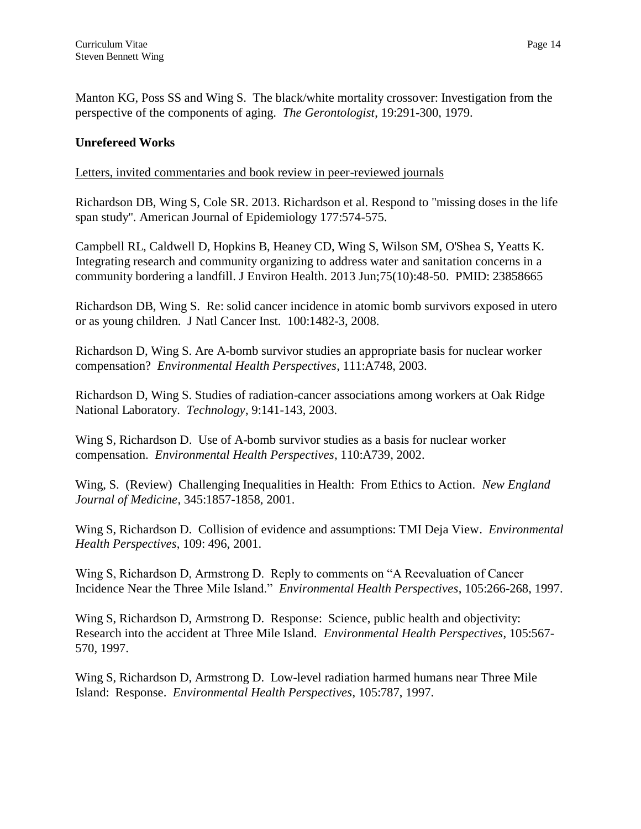Manton KG, Poss SS and Wing S. The black/white mortality crossover: Investigation from the perspective of the components of aging. *The Gerontologist*, 19:291-300, 1979.

## **Unrefereed Works**

Letters, invited commentaries and book review in peer-reviewed journals

Richardson DB, Wing S, Cole SR. 2013. Richardson et al. Respond to "missing doses in the life span study". American Journal of Epidemiology 177:574-575.

Campbell RL, Caldwell D, Hopkins B, Heaney CD, Wing S, Wilson SM, O'Shea S, Yeatts K. Integrating research and community organizing to address water and sanitation concerns in a community bordering a landfill. J Environ Health. 2013 Jun;75(10):48-50. PMID: 23858665

Richardson DB, Wing S. [Re: solid cancer incidence in atomic bomb survivors exposed in utero](http://www.ncbi.nlm.nih.gov.libproxy.lib.unc.edu/pubmed/18840820?ordinalpos=6&itool=EntrezSystem2.PEntrez.Pubmed.Pubmed_ResultsPanel.Pubmed_DefaultReportPanel.Pubmed_RVDocSum)  [or as young children.](http://www.ncbi.nlm.nih.gov.libproxy.lib.unc.edu/pubmed/18840820?ordinalpos=6&itool=EntrezSystem2.PEntrez.Pubmed.Pubmed_ResultsPanel.Pubmed_DefaultReportPanel.Pubmed_RVDocSum) J Natl Cancer Inst. 100:1482-3, 2008.

Richardson D, Wing S. Are A-bomb survivor studies an appropriate basis for nuclear worker compensation? *Environmental Health Perspectives*, 111:A748, 2003.

Richardson D, Wing S. Studies of radiation-cancer associations among workers at Oak Ridge National Laboratory. *Technology*, 9:141-143, 2003.

Wing S, Richardson D. Use of A-bomb survivor studies as a basis for nuclear worker compensation. *Environmental Health Perspectives*, 110:A739, 2002.

Wing, S. (Review) Challenging Inequalities in Health: From Ethics to Action. *New England Journal of Medicine*, 345:1857-1858, 2001.

Wing S, Richardson D. Collision of evidence and assumptions: TMI Deja View. *Environmental Health Perspectives*, 109: 496, 2001.

Wing S, Richardson D, Armstrong D. Reply to comments on "A Reevaluation of Cancer Incidence Near the Three Mile Island." *Environmental Health Perspectives*, 105:266-268, 1997.

Wing S, Richardson D, Armstrong D. Response: Science, public health and objectivity: Research into the accident at Three Mile Island. *Environmental Health Perspectives*, 105:567- 570, 1997.

Wing S, Richardson D, Armstrong D. Low-level radiation harmed humans near Three Mile Island: Response. *Environmental Health Perspectives*, 105:787, 1997.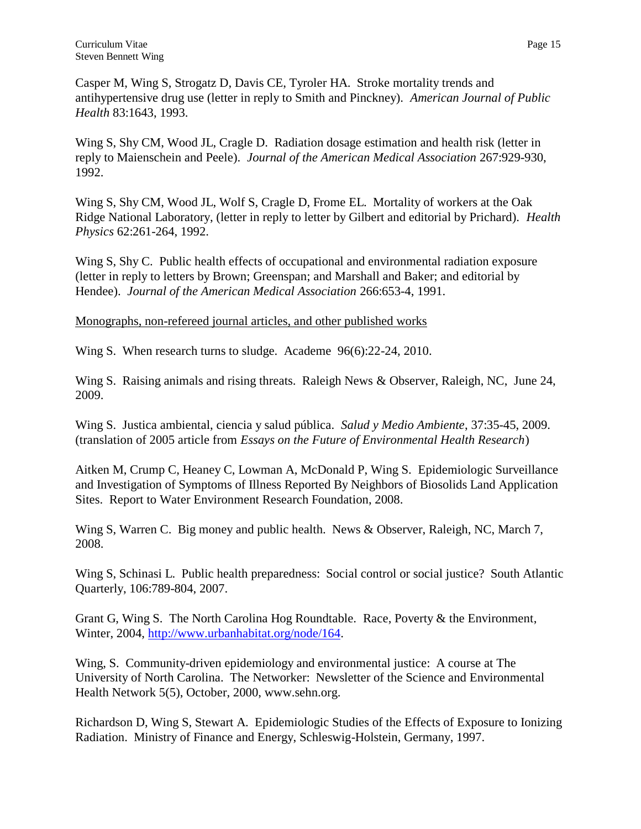Wing S, Shy CM, Wood JL, Cragle D. Radiation dosage estimation and health risk (letter in reply to Maienschein and Peele). *Journal of the American Medical Association* 267:929-930, 1992.

Wing S, Shy CM, Wood JL, Wolf S, Cragle D, Frome EL. Mortality of workers at the Oak Ridge National Laboratory, (letter in reply to letter by Gilbert and editorial by Prichard). *Health Physics* 62:261-264, 1992.

Wing S, Shy C. Public health effects of occupational and environmental radiation exposure (letter in reply to letters by Brown; Greenspan; and Marshall and Baker; and editorial by Hendee). *Journal of the American Medical Association* 266:653-4, 1991.

Monographs, non-refereed journal articles, and other published works

Wing S. When research turns to sludge. Academe 96(6):22-24, 2010.

Wing S. Raising animals and rising threats. Raleigh News & Observer, Raleigh, NC, June 24, 2009.

Wing S. Justica ambiental, ciencia y salud pública. *Salud y Medio Ambiente*, 37:35-45, 2009. (translation of 2005 article from *Essays on the Future of Environmental Health Research*)

Aitken M, Crump C, Heaney C, Lowman A, McDonald P, Wing S. Epidemiologic Surveillance and Investigation of Symptoms of Illness Reported By Neighbors of Biosolids Land Application Sites. Report to Water Environment Research Foundation, 2008.

Wing S, Warren C. Big money and public health. News & Observer, Raleigh, NC, March 7, 2008.

Wing S, Schinasi L. Public health preparedness: Social control or social justice? South Atlantic Quarterly, 106:789-804, 2007.

Grant G, Wing S. The North Carolina Hog Roundtable. Race, Poverty & the Environment, Winter, 2004, [http://www.urbanhabitat.org/node/164.](http://www.urbanhabitat.org/node/164)

Wing, S. Community-driven epidemiology and environmental justice: A course at The University of North Carolina. The Networker: Newsletter of the Science and Environmental Health Network 5(5), October, 2000, [www.sehn.org.](http://www.sehn.org/)

Richardson D, Wing S, Stewart A. Epidemiologic Studies of the Effects of Exposure to Ionizing Radiation. Ministry of Finance and Energy, Schleswig-Holstein, Germany, 1997.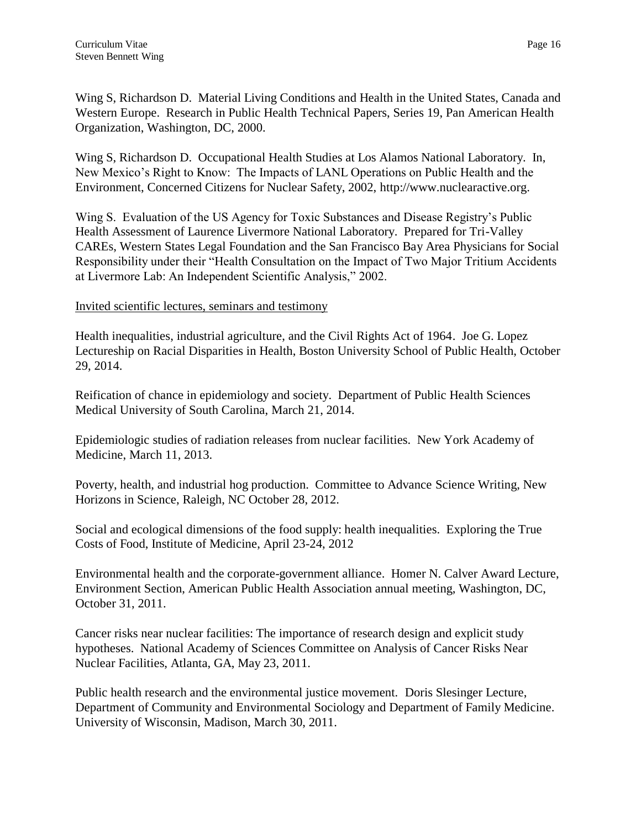Wing S, Richardson D. Material Living Conditions and Health in the United States, Canada and Western Europe. Research in Public Health Technical Papers, Series 19, Pan American Health Organization, Washington, DC, 2000.

Wing S, Richardson D. Occupational Health Studies at Los Alamos National Laboratory. In, New Mexico's Right to Know: The Impacts of LANL Operations on Public Health and the Environment, Concerned Citizens for Nuclear Safety, 2002, [http://www.nuclearactive.org.](http://www.nuclearactive.org/)

Wing S. Evaluation of the US Agency for Toxic Substances and Disease Registry's Public Health Assessment of Laurence Livermore National Laboratory. Prepared for Tri-Valley CAREs, Western States Legal Foundation and the San Francisco Bay Area Physicians for Social Responsibility under their "Health Consultation on the Impact of Two Major Tritium Accidents at Livermore Lab: An Independent Scientific Analysis," 2002.

Invited scientific lectures, seminars and testimony

Health inequalities, industrial agriculture, and the Civil Rights Act of 1964. Joe G. Lopez Lectureship on Racial Disparities in Health, Boston University School of Public Health, October 29, 2014.

Reification of chance in epidemiology and society. Department of Public Health Sciences Medical University of South Carolina, March 21, 2014.

Epidemiologic studies of radiation releases from nuclear facilities. New York Academy of Medicine, March 11, 2013.

Poverty, health, and industrial hog production. Committee to Advance Science Writing, New Horizons in Science, Raleigh, NC October 28, 2012.

Social and ecological dimensions of the food supply: health inequalities. Exploring the True Costs of Food, Institute of Medicine, April 23-24, 2012

Environmental health and the corporate-government alliance. Homer N. Calver Award Lecture, Environment Section, American Public Health Association annual meeting, Washington, DC, October 31, 2011.

Cancer risks near nuclear facilities: The importance of research design and explicit study hypotheses. National Academy of Sciences Committee on Analysis of Cancer Risks Near Nuclear Facilities, Atlanta, GA, May 23, 2011.

Public health research and the environmental justice movement. Doris Slesinger Lecture, Department of Community and Environmental Sociology and Department of Family Medicine. University of Wisconsin, Madison, March 30, 2011.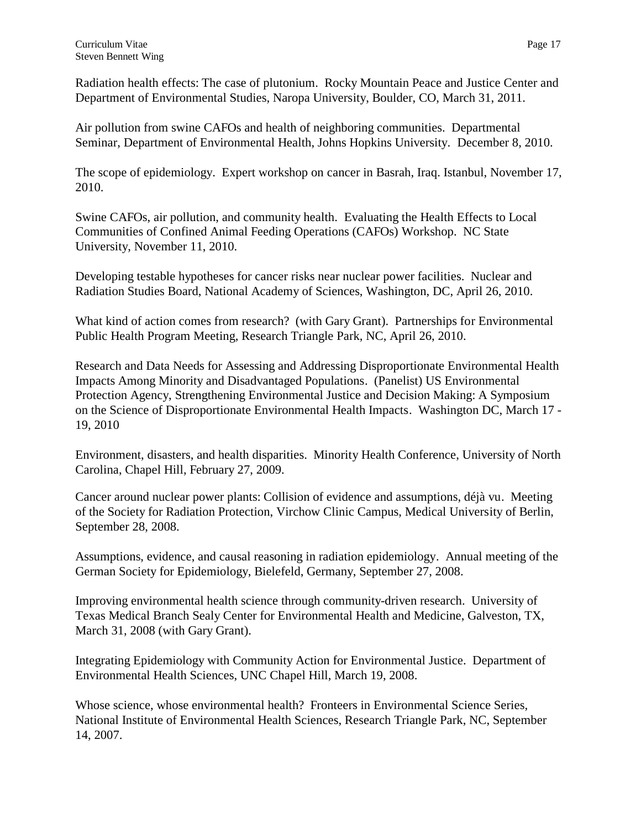Radiation health effects: The case of plutonium. Rocky Mountain Peace and Justice Center and Department of Environmental Studies, Naropa University, Boulder, CO, March 31, 2011.

Air pollution from swine CAFOs and health of neighboring communities. Departmental Seminar, Department of Environmental Health, Johns Hopkins University. December 8, 2010.

The scope of epidemiology. Expert workshop on cancer in Basrah, Iraq. Istanbul, November 17, 2010.

Swine CAFOs, air pollution, and community health. Evaluating the Health Effects to Local Communities of Confined Animal Feeding Operations (CAFOs) Workshop. NC State University, November 11, 2010.

Developing testable hypotheses for cancer risks near nuclear power facilities. Nuclear and Radiation Studies Board, National Academy of Sciences, Washington, DC, April 26, 2010.

What kind of action comes from research? (with Gary Grant). Partnerships for Environmental Public Health Program Meeting, Research Triangle Park, NC, April 26, 2010.

Research and Data Needs for Assessing and Addressing Disproportionate Environmental Health Impacts Among Minority and Disadvantaged Populations. (Panelist) US Environmental Protection Agency, Strengthening Environmental Justice and Decision Making: A Symposium on the Science of Disproportionate Environmental Health Impacts. Washington DC, March 17 - 19, 2010

Environment, disasters, and health disparities. Minority Health Conference, University of North Carolina, Chapel Hill, February 27, 2009.

Cancer around nuclear power plants: Collision of evidence and assumptions, déjà vu. Meeting of the Society for Radiation Protection, Virchow Clinic Campus, Medical University of Berlin, September 28, 2008.

Assumptions, evidence, and causal reasoning in radiation epidemiology. Annual meeting of the German Society for Epidemiology, Bielefeld, Germany, September 27, 2008.

Improving environmental health science through community-driven research. University of Texas Medical Branch Sealy Center for Environmental Health and Medicine, Galveston, TX, March 31, 2008 (with Gary Grant).

Integrating Epidemiology with Community Action for Environmental Justice. Department of Environmental Health Sciences, UNC Chapel Hill, March 19, 2008.

Whose science, whose environmental health? Fronteers in Environmental Science Series, National Institute of Environmental Health Sciences, Research Triangle Park, NC, September 14, 2007.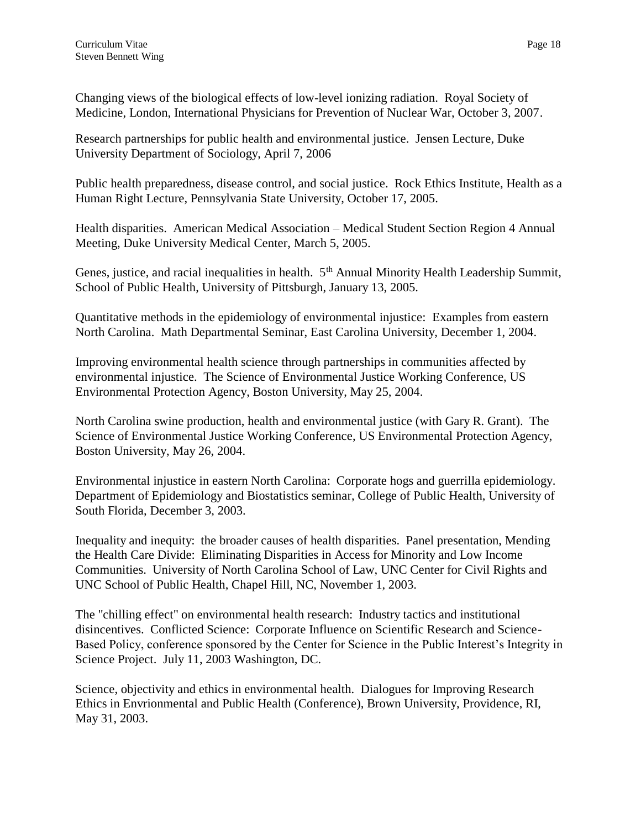Changing views of the biological effects of low-level ionizing radiation. Royal Society of Medicine, London, International Physicians for Prevention of Nuclear War, October 3, 2007.

Research partnerships for public health and environmental justice. Jensen Lecture, Duke University Department of Sociology, April 7, 2006

Public health preparedness, disease control, and social justice. Rock Ethics Institute, Health as a Human Right Lecture, Pennsylvania State University, October 17, 2005.

Health disparities. American Medical Association – Medical Student Section Region 4 Annual Meeting, Duke University Medical Center, March 5, 2005.

Genes, justice, and racial inequalities in health. 5<sup>th</sup> Annual Minority Health Leadership Summit, School of Public Health, University of Pittsburgh, January 13, 2005.

Quantitative methods in the epidemiology of environmental injustice: Examples from eastern North Carolina. Math Departmental Seminar, East Carolina University, December 1, 2004.

Improving environmental health science through partnerships in communities affected by environmental injustice. The Science of Environmental Justice Working Conference, US Environmental Protection Agency, Boston University, May 25, 2004.

North Carolina swine production, health and environmental justice (with Gary R. Grant). The Science of Environmental Justice Working Conference, US Environmental Protection Agency, Boston University, May 26, 2004.

Environmental injustice in eastern North Carolina: Corporate hogs and guerrilla epidemiology. Department of Epidemiology and Biostatistics seminar, College of Public Health, University of South Florida, December 3, 2003.

Inequality and inequity: the broader causes of health disparities. Panel presentation, Mending the Health Care Divide: Eliminating Disparities in Access for Minority and Low Income Communities. University of North Carolina School of Law, UNC Center for Civil Rights and UNC School of Public Health, Chapel Hill, NC, November 1, 2003.

The "chilling effect" on environmental health research: Industry tactics and institutional disincentives. Conflicted Science: Corporate Influence on Scientific Research and Science-Based Policy, conference sponsored by the Center for Science in the Public Interest's Integrity in Science Project. July 11, 2003 Washington, DC.

Science, objectivity and ethics in environmental health. Dialogues for Improving Research Ethics in Envrionmental and Public Health (Conference), Brown University, Providence, RI, May 31, 2003.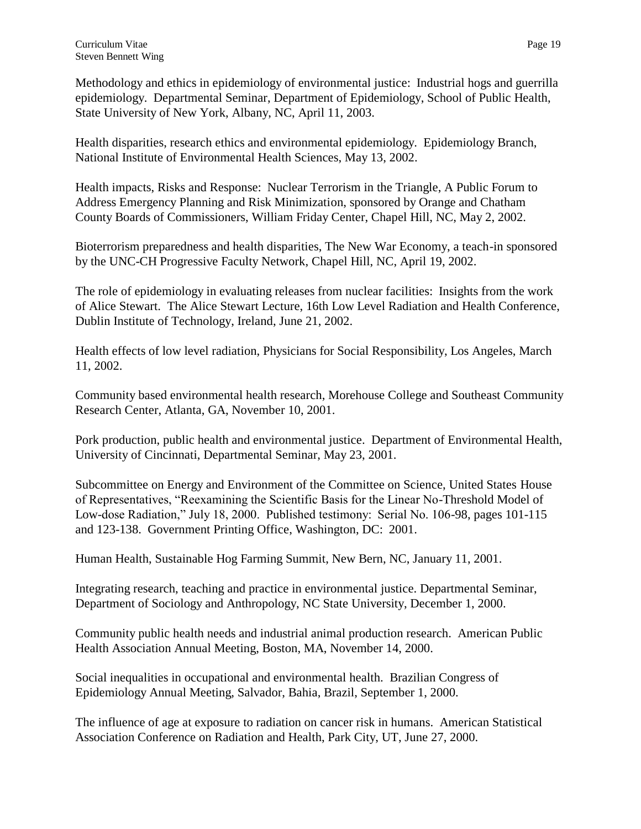Methodology and ethics in epidemiology of environmental justice: Industrial hogs and guerrilla epidemiology. Departmental Seminar, Department of Epidemiology, School of Public Health, State University of New York, Albany, NC, April 11, 2003.

Health disparities, research ethics and environmental epidemiology. Epidemiology Branch, National Institute of Environmental Health Sciences, May 13, 2002.

Health impacts, Risks and Response: Nuclear Terrorism in the Triangle, A Public Forum to Address Emergency Planning and Risk Minimization, sponsored by Orange and Chatham County Boards of Commissioners, William Friday Center, Chapel Hill, NC, May 2, 2002.

Bioterrorism preparedness and health disparities, The New War Economy, a teach-in sponsored by the UNC-CH Progressive Faculty Network, Chapel Hill, NC, April 19, 2002.

The role of epidemiology in evaluating releases from nuclear facilities: Insights from the work of Alice Stewart. The Alice Stewart Lecture, 16th Low Level Radiation and Health Conference, Dublin Institute of Technology, Ireland, June 21, 2002.

Health effects of low level radiation, Physicians for Social Responsibility, Los Angeles, March 11, 2002.

Community based environmental health research, Morehouse College and Southeast Community Research Center, Atlanta, GA, November 10, 2001.

Pork production, public health and environmental justice. Department of Environmental Health, University of Cincinnati, Departmental Seminar, May 23, 2001.

Subcommittee on Energy and Environment of the Committee on Science, United States House of Representatives, "Reexamining the Scientific Basis for the Linear No-Threshold Model of Low-dose Radiation," July 18, 2000. Published testimony: Serial No. 106-98, pages 101-115 and 123-138. Government Printing Office, Washington, DC: 2001.

Human Health, Sustainable Hog Farming Summit, New Bern, NC, January 11, 2001.

Integrating research, teaching and practice in environmental justice. Departmental Seminar, Department of Sociology and Anthropology, NC State University, December 1, 2000.

Community public health needs and industrial animal production research. American Public Health Association Annual Meeting, Boston, MA, November 14, 2000.

Social inequalities in occupational and environmental health. Brazilian Congress of Epidemiology Annual Meeting, Salvador, Bahia, Brazil, September 1, 2000.

The influence of age at exposure to radiation on cancer risk in humans. American Statistical Association Conference on Radiation and Health, Park City, UT, June 27, 2000.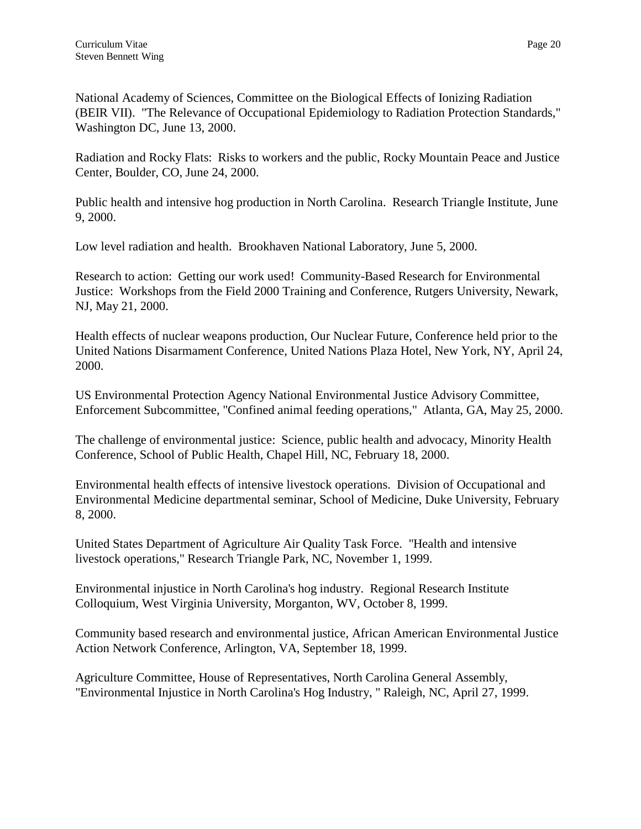National Academy of Sciences, Committee on the Biological Effects of Ionizing Radiation (BEIR VII). "The Relevance of Occupational Epidemiology to Radiation Protection Standards," Washington DC, June 13, 2000.

Radiation and Rocky Flats: Risks to workers and the public, Rocky Mountain Peace and Justice Center, Boulder, CO, June 24, 2000.

Public health and intensive hog production in North Carolina. Research Triangle Institute, June 9, 2000.

Low level radiation and health. Brookhaven National Laboratory, June 5, 2000.

Research to action: Getting our work used! Community-Based Research for Environmental Justice: Workshops from the Field 2000 Training and Conference, Rutgers University, Newark, NJ, May 21, 2000.

Health effects of nuclear weapons production, Our Nuclear Future, Conference held prior to the United Nations Disarmament Conference, United Nations Plaza Hotel, New York, NY, April 24, 2000.

US Environmental Protection Agency National Environmental Justice Advisory Committee, Enforcement Subcommittee, "Confined animal feeding operations," Atlanta, GA, May 25, 2000.

The challenge of environmental justice: Science, public health and advocacy, Minority Health Conference, School of Public Health, Chapel Hill, NC, February 18, 2000.

Environmental health effects of intensive livestock operations. Division of Occupational and Environmental Medicine departmental seminar, School of Medicine, Duke University, February 8, 2000.

United States Department of Agriculture Air Quality Task Force. "Health and intensive livestock operations," Research Triangle Park, NC, November 1, 1999.

Environmental injustice in North Carolina's hog industry. Regional Research Institute Colloquium, West Virginia University, Morganton, WV, October 8, 1999.

Community based research and environmental justice, African American Environmental Justice Action Network Conference, Arlington, VA, September 18, 1999.

Agriculture Committee, House of Representatives, North Carolina General Assembly, "Environmental Injustice in North Carolina's Hog Industry, " Raleigh, NC, April 27, 1999.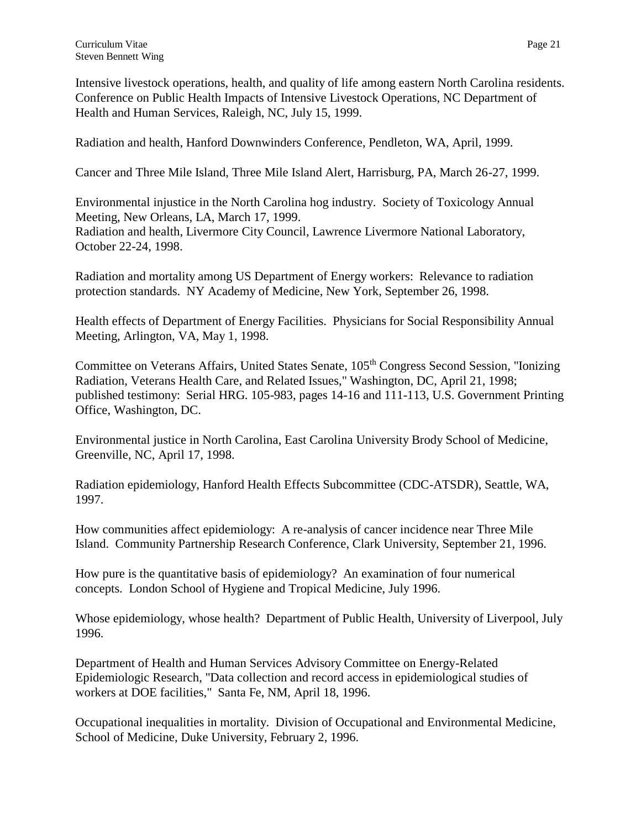Intensive livestock operations, health, and quality of life among eastern North Carolina residents. Conference on Public Health Impacts of Intensive Livestock Operations, NC Department of Health and Human Services, Raleigh, NC, July 15, 1999.

Radiation and health, Hanford Downwinders Conference, Pendleton, WA, April, 1999.

Cancer and Three Mile Island, Three Mile Island Alert, Harrisburg, PA, March 26-27, 1999.

Environmental injustice in the North Carolina hog industry. Society of Toxicology Annual Meeting, New Orleans, LA, March 17, 1999.

Radiation and health, Livermore City Council, Lawrence Livermore National Laboratory, October 22-24, 1998.

Radiation and mortality among US Department of Energy workers: Relevance to radiation protection standards. NY Academy of Medicine, New York, September 26, 1998.

Health effects of Department of Energy Facilities. Physicians for Social Responsibility Annual Meeting, Arlington, VA, May 1, 1998.

Committee on Veterans Affairs, United States Senate, 105<sup>th</sup> Congress Second Session, "Ionizing Radiation, Veterans Health Care, and Related Issues," Washington, DC, April 21, 1998; published testimony: Serial HRG. 105-983, pages 14-16 and 111-113, U.S. Government Printing Office, Washington, DC.

Environmental justice in North Carolina, East Carolina University Brody School of Medicine, Greenville, NC, April 17, 1998.

Radiation epidemiology, Hanford Health Effects Subcommittee (CDC-ATSDR), Seattle, WA, 1997.

How communities affect epidemiology: A re-analysis of cancer incidence near Three Mile Island. Community Partnership Research Conference, Clark University, September 21, 1996.

How pure is the quantitative basis of epidemiology? An examination of four numerical concepts. London School of Hygiene and Tropical Medicine, July 1996.

Whose epidemiology, whose health? Department of Public Health, University of Liverpool, July 1996.

Department of Health and Human Services Advisory Committee on Energy-Related Epidemiologic Research, "Data collection and record access in epidemiological studies of workers at DOE facilities," Santa Fe, NM, April 18, 1996.

Occupational inequalities in mortality. Division of Occupational and Environmental Medicine, School of Medicine, Duke University, February 2, 1996.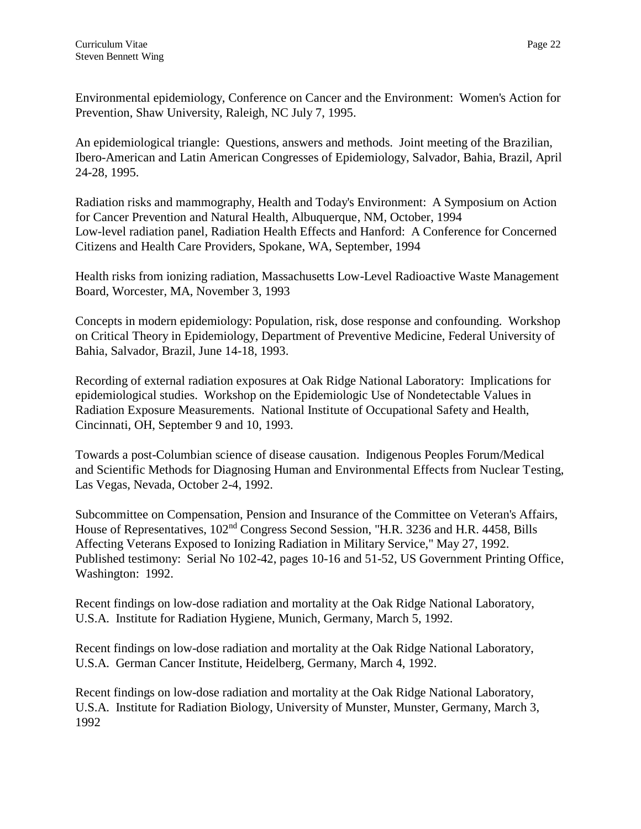Environmental epidemiology, Conference on Cancer and the Environment: Women's Action for Prevention, Shaw University, Raleigh, NC July 7, 1995.

An epidemiological triangle: Questions, answers and methods. Joint meeting of the Brazilian, Ibero-American and Latin American Congresses of Epidemiology, Salvador, Bahia, Brazil, April 24-28, 1995.

Radiation risks and mammography, Health and Today's Environment: A Symposium on Action for Cancer Prevention and Natural Health, Albuquerque, NM, October, 1994 Low-level radiation panel, Radiation Health Effects and Hanford: A Conference for Concerned Citizens and Health Care Providers, Spokane, WA, September, 1994

Health risks from ionizing radiation, Massachusetts Low-Level Radioactive Waste Management Board, Worcester, MA, November 3, 1993

Concepts in modern epidemiology: Population, risk, dose response and confounding. Workshop on Critical Theory in Epidemiology, Department of Preventive Medicine, Federal University of Bahia, Salvador, Brazil, June 14-18, 1993.

Recording of external radiation exposures at Oak Ridge National Laboratory: Implications for epidemiological studies. Workshop on the Epidemiologic Use of Nondetectable Values in Radiation Exposure Measurements. National Institute of Occupational Safety and Health, Cincinnati, OH, September 9 and 10, 1993.

Towards a post-Columbian science of disease causation. Indigenous Peoples Forum/Medical and Scientific Methods for Diagnosing Human and Environmental Effects from Nuclear Testing, Las Vegas, Nevada, October 2-4, 1992.

Subcommittee on Compensation, Pension and Insurance of the Committee on Veteran's Affairs, House of Representatives, 102<sup>nd</sup> Congress Second Session, "H.R. 3236 and H.R. 4458, Bills Affecting Veterans Exposed to Ionizing Radiation in Military Service," May 27, 1992. Published testimony: Serial No 102-42, pages 10-16 and 51-52, US Government Printing Office, Washington: 1992.

Recent findings on low-dose radiation and mortality at the Oak Ridge National Laboratory, U.S.A. Institute for Radiation Hygiene, Munich, Germany, March 5, 1992.

Recent findings on low-dose radiation and mortality at the Oak Ridge National Laboratory, U.S.A. German Cancer Institute, Heidelberg, Germany, March 4, 1992.

Recent findings on low-dose radiation and mortality at the Oak Ridge National Laboratory, U.S.A. Institute for Radiation Biology, University of Munster, Munster, Germany, March 3, 1992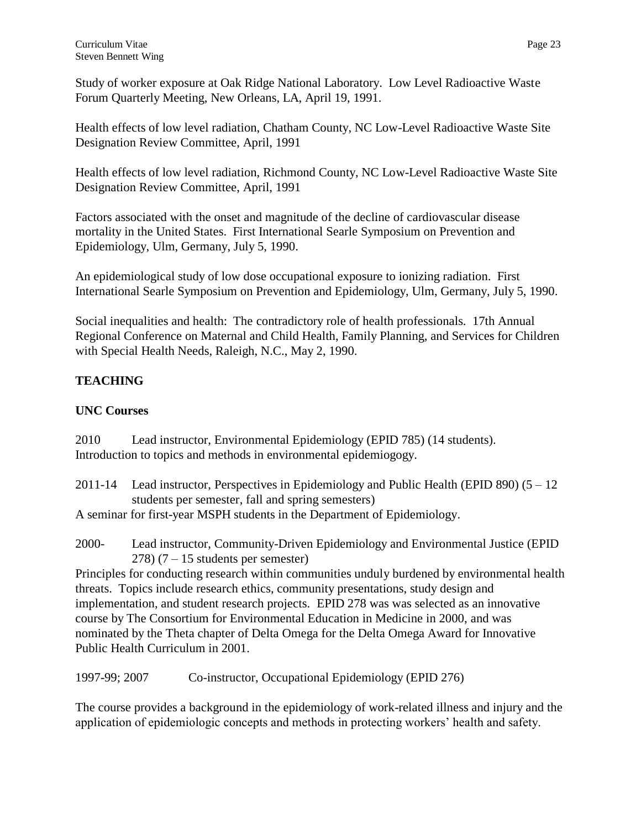Study of worker exposure at Oak Ridge National Laboratory. Low Level Radioactive Waste Forum Quarterly Meeting, New Orleans, LA, April 19, 1991.

Health effects of low level radiation, Chatham County, NC Low-Level Radioactive Waste Site Designation Review Committee, April, 1991

Health effects of low level radiation, Richmond County, NC Low-Level Radioactive Waste Site Designation Review Committee, April, 1991

Factors associated with the onset and magnitude of the decline of cardiovascular disease mortality in the United States. First International Searle Symposium on Prevention and Epidemiology, Ulm, Germany, July 5, 1990.

An epidemiological study of low dose occupational exposure to ionizing radiation. First International Searle Symposium on Prevention and Epidemiology, Ulm, Germany, July 5, 1990.

Social inequalities and health: The contradictory role of health professionals. 17th Annual Regional Conference on Maternal and Child Health, Family Planning, and Services for Children with Special Health Needs, Raleigh, N.C., May 2, 1990.

# **TEACHING**

## **UNC Courses**

2010 Lead instructor, Environmental Epidemiology (EPID 785) (14 students). Introduction to topics and methods in environmental epidemiogogy.

2011-14 Lead instructor, Perspectives in Epidemiology and Public Health (EPID 890) (5 – 12 students per semester, fall and spring semesters)

A seminar for first-year MSPH students in the Department of Epidemiology.

2000- Lead instructor, Community-Driven Epidemiology and Environmental Justice (EPID 278)  $(7 - 15$  students per semester)

Principles for conducting research within communities unduly burdened by environmental health threats. Topics include research ethics, community presentations, study design and implementation, and student research projects. EPID 278 was was selected as an innovative course by The Consortium for Environmental Education in Medicine in 2000, and was nominated by the Theta chapter of Delta Omega for the Delta Omega Award for Innovative Public Health Curriculum in 2001.

1997-99; 2007 Co-instructor, Occupational Epidemiology (EPID 276)

The course provides a background in the epidemiology of work-related illness and injury and the application of epidemiologic concepts and methods in protecting workers' health and safety.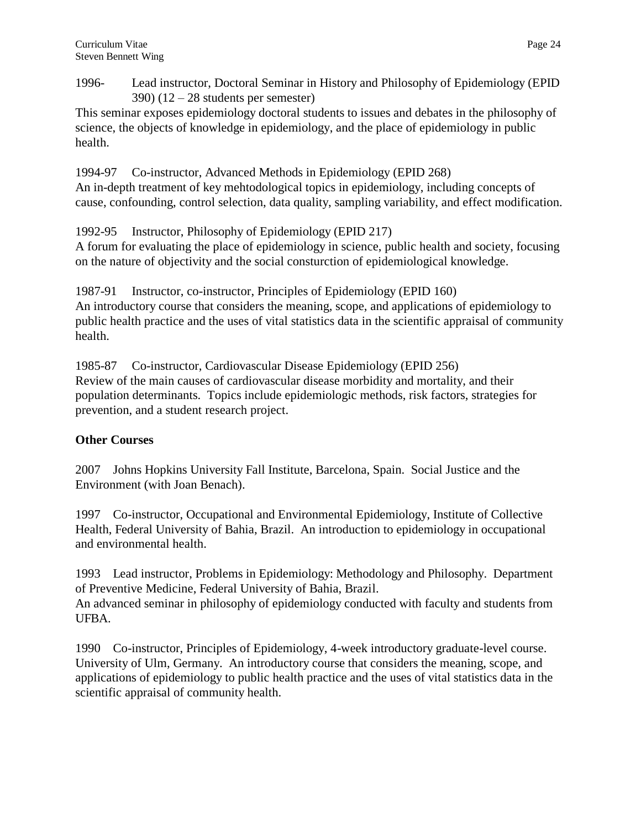1996- Lead instructor, Doctoral Seminar in History and Philosophy of Epidemiology (EPID  $390)$  (12 – 28 students per semester)

This seminar exposes epidemiology doctoral students to issues and debates in the philosophy of science, the objects of knowledge in epidemiology, and the place of epidemiology in public health.

1994-97 Co-instructor, Advanced Methods in Epidemiology (EPID 268) An in-depth treatment of key mehtodological topics in epidemiology, including concepts of cause, confounding, control selection, data quality, sampling variability, and effect modification.

1992-95 Instructor, Philosophy of Epidemiology (EPID 217)

A forum for evaluating the place of epidemiology in science, public health and society, focusing on the nature of objectivity and the social consturction of epidemiological knowledge.

1987-91 Instructor, co-instructor, Principles of Epidemiology (EPID 160) An introductory course that considers the meaning, scope, and applications of epidemiology to public health practice and the uses of vital statistics data in the scientific appraisal of community health.

1985-87 Co-instructor, Cardiovascular Disease Epidemiology (EPID 256) Review of the main causes of cardiovascular disease morbidity and mortality, and their population determinants. Topics include epidemiologic methods, risk factors, strategies for prevention, and a student research project.

# **Other Courses**

2007 Johns Hopkins University Fall Institute, Barcelona, Spain. Social Justice and the Environment (with Joan Benach).

1997 Co-instructor, Occupational and Environmental Epidemiology, Institute of Collective Health, Federal University of Bahia, Brazil. An introduction to epidemiology in occupational and environmental health.

1993 Lead instructor, Problems in Epidemiology: Methodology and Philosophy. Department of Preventive Medicine, Federal University of Bahia, Brazil.

An advanced seminar in philosophy of epidemiology conducted with faculty and students from UFBA.

1990 Co-instructor, Principles of Epidemiology, 4-week introductory graduate-level course. University of Ulm, Germany. An introductory course that considers the meaning, scope, and applications of epidemiology to public health practice and the uses of vital statistics data in the scientific appraisal of community health.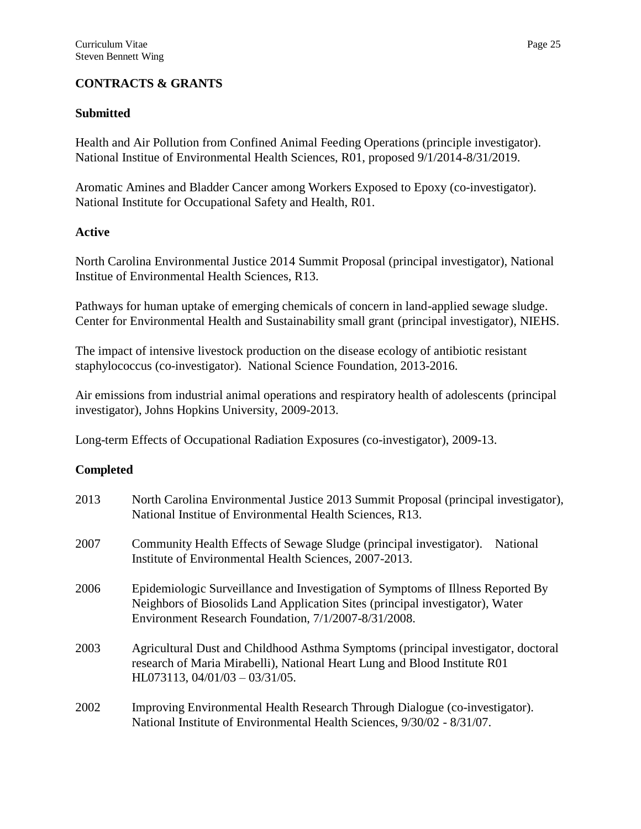## **CONTRACTS & GRANTS**

## **Submitted**

Health and Air Pollution from Confined Animal Feeding Operations (principle investigator). National Institue of Environmental Health Sciences, R01, proposed 9/1/2014-8/31/2019.

Aromatic Amines and Bladder Cancer among Workers Exposed to Epoxy (co-investigator). National Institute for Occupational Safety and Health, R01.

#### **Active**

North Carolina Environmental Justice 2014 Summit Proposal (principal investigator), National Institue of Environmental Health Sciences, R13.

Pathways for human uptake of emerging chemicals of concern in land-applied sewage sludge. Center for Environmental Health and Sustainability small grant (principal investigator), NIEHS.

The impact of intensive livestock production on the disease ecology of antibiotic resistant staphylococcus (co-investigator). National Science Foundation, 2013-2016.

Air emissions from industrial animal operations and respiratory health of adolescents (principal investigator), Johns Hopkins University, 2009-2013.

Long-term Effects of Occupational Radiation Exposures (co-investigator), 2009-13.

## **Completed**

| 2013 | North Carolina Environmental Justice 2013 Summit Proposal (principal investigator),<br>National Institue of Environmental Health Sciences, R13.                                                                          |
|------|--------------------------------------------------------------------------------------------------------------------------------------------------------------------------------------------------------------------------|
| 2007 | Community Health Effects of Sewage Sludge (principal investigator).<br>National<br>Institute of Environmental Health Sciences, 2007-2013.                                                                                |
| 2006 | Epidemiologic Surveillance and Investigation of Symptoms of Illness Reported By<br>Neighbors of Biosolids Land Application Sites (principal investigator), Water<br>Environment Research Foundation, 7/1/2007-8/31/2008. |
| 2003 | Agricultural Dust and Childhood Asthma Symptoms (principal investigator, doctoral<br>research of Maria Mirabelli), National Heart Lung and Blood Institute R01<br>HL073113, $04/01/03 - 03/31/05$ .                      |
| 2002 | Improving Environmental Health Research Through Dialogue (co-investigator).<br>National Institute of Environmental Health Sciences, 9/30/02 - 8/31/07.                                                                   |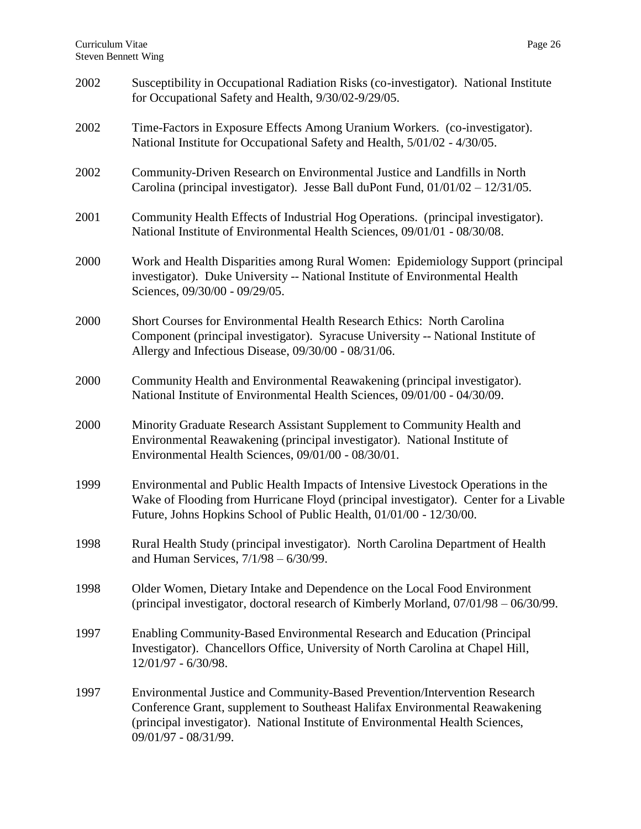| 2002 | Susceptibility in Occupational Radiation Risks (co-investigator). National Institute<br>for Occupational Safety and Health, 9/30/02-9/29/05.                                                                                                                        |
|------|---------------------------------------------------------------------------------------------------------------------------------------------------------------------------------------------------------------------------------------------------------------------|
| 2002 | Time-Factors in Exposure Effects Among Uranium Workers. (co-investigator).<br>National Institute for Occupational Safety and Health, 5/01/02 - 4/30/05.                                                                                                             |
| 2002 | Community-Driven Research on Environmental Justice and Landfills in North<br>Carolina (principal investigator). Jesse Ball duPont Fund, $01/01/02 - 12/31/05$ .                                                                                                     |
| 2001 | Community Health Effects of Industrial Hog Operations. (principal investigator).<br>National Institute of Environmental Health Sciences, 09/01/01 - 08/30/08.                                                                                                       |
| 2000 | Work and Health Disparities among Rural Women: Epidemiology Support (principal<br>investigator). Duke University -- National Institute of Environmental Health<br>Sciences, 09/30/00 - 09/29/05.                                                                    |
| 2000 | Short Courses for Environmental Health Research Ethics: North Carolina<br>Component (principal investigator). Syracuse University -- National Institute of<br>Allergy and Infectious Disease, 09/30/00 - 08/31/06.                                                  |
| 2000 | Community Health and Environmental Reawakening (principal investigator).<br>National Institute of Environmental Health Sciences, 09/01/00 - 04/30/09.                                                                                                               |
| 2000 | Minority Graduate Research Assistant Supplement to Community Health and<br>Environmental Reawakening (principal investigator). National Institute of<br>Environmental Health Sciences, 09/01/00 - 08/30/01.                                                         |
| 1999 | Environmental and Public Health Impacts of Intensive Livestock Operations in the<br>Wake of Flooding from Hurricane Floyd (principal investigator). Center for a Livable<br>Future, Johns Hopkins School of Public Health, 01/01/00 - 12/30/00.                     |
| 1998 | Rural Health Study (principal investigator). North Carolina Department of Health<br>and Human Services, $7/1/98 - 6/30/99$ .                                                                                                                                        |
| 1998 | Older Women, Dietary Intake and Dependence on the Local Food Environment<br>(principal investigator, doctoral research of Kimberly Morland, $07/01/98 - 06/30/99$ .                                                                                                 |
| 1997 | Enabling Community-Based Environmental Research and Education (Principal<br>Investigator). Chancellors Office, University of North Carolina at Chapel Hill,<br>12/01/97 - 6/30/98.                                                                                  |
| 1997 | Environmental Justice and Community-Based Prevention/Intervention Research<br>Conference Grant, supplement to Southeast Halifax Environmental Reawakening<br>(principal investigator). National Institute of Environmental Health Sciences,<br>09/01/97 - 08/31/99. |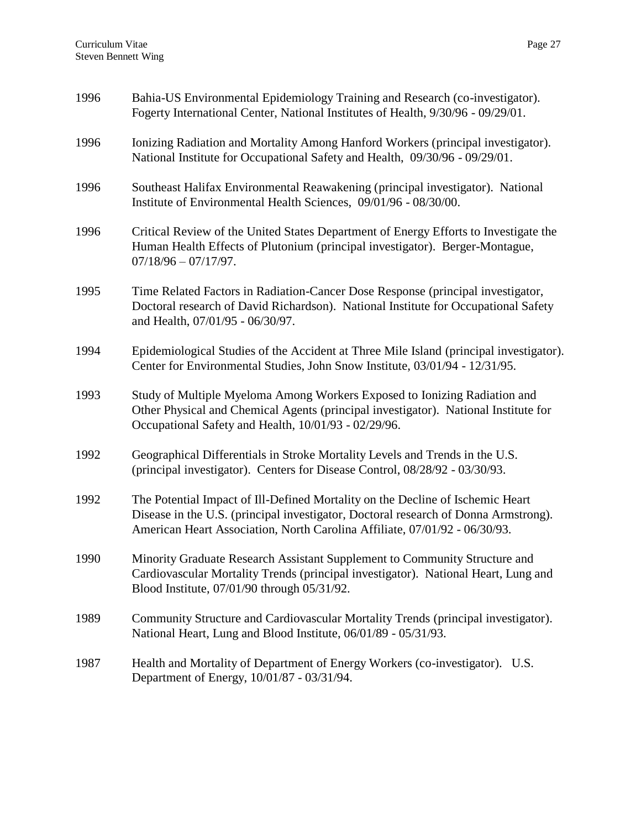| 1996 | Bahia-US Environmental Epidemiology Training and Research (co-investigator).<br>Fogerty International Center, National Institutes of Health, 9/30/96 - 09/29/01.                                                                                    |
|------|-----------------------------------------------------------------------------------------------------------------------------------------------------------------------------------------------------------------------------------------------------|
| 1996 | Ionizing Radiation and Mortality Among Hanford Workers (principal investigator).<br>National Institute for Occupational Safety and Health, 09/30/96 - 09/29/01.                                                                                     |
| 1996 | Southeast Halifax Environmental Reawakening (principal investigator). National<br>Institute of Environmental Health Sciences, 09/01/96 - 08/30/00.                                                                                                  |
| 1996 | Critical Review of the United States Department of Energy Efforts to Investigate the<br>Human Health Effects of Plutonium (principal investigator). Berger-Montague,<br>$07/18/96 - 07/17/97.$                                                      |
| 1995 | Time Related Factors in Radiation-Cancer Dose Response (principal investigator,<br>Doctoral research of David Richardson). National Institute for Occupational Safety<br>and Health, 07/01/95 - 06/30/97.                                           |
| 1994 | Epidemiological Studies of the Accident at Three Mile Island (principal investigator).<br>Center for Environmental Studies, John Snow Institute, 03/01/94 - 12/31/95.                                                                               |
| 1993 | Study of Multiple Myeloma Among Workers Exposed to Ionizing Radiation and<br>Other Physical and Chemical Agents (principal investigator). National Institute for<br>Occupational Safety and Health, 10/01/93 - 02/29/96.                            |
| 1992 | Geographical Differentials in Stroke Mortality Levels and Trends in the U.S.<br>(principal investigator). Centers for Disease Control, 08/28/92 - 03/30/93.                                                                                         |
| 1992 | The Potential Impact of Ill-Defined Mortality on the Decline of Ischemic Heart<br>Disease in the U.S. (principal investigator, Doctoral research of Donna Armstrong).<br>American Heart Association, North Carolina Affiliate, 07/01/92 - 06/30/93. |
| 1990 | Minority Graduate Research Assistant Supplement to Community Structure and<br>Cardiovascular Mortality Trends (principal investigator). National Heart, Lung and<br>Blood Institute, 07/01/90 through 05/31/92.                                     |
| 1989 | Community Structure and Cardiovascular Mortality Trends (principal investigator).<br>National Heart, Lung and Blood Institute, 06/01/89 - 05/31/93.                                                                                                 |
| 1987 | Health and Mortality of Department of Energy Workers (co-investigator). U.S.<br>Department of Energy, 10/01/87 - 03/31/94.                                                                                                                          |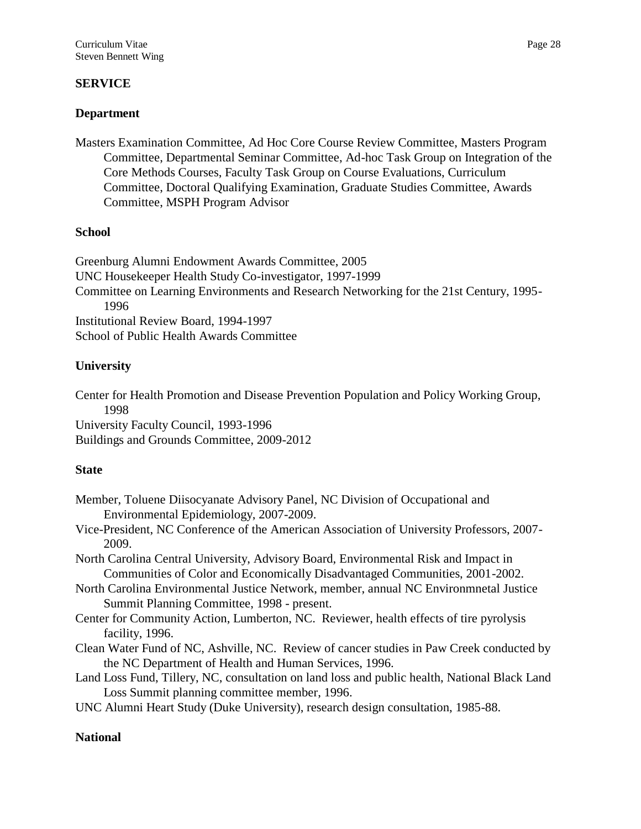## **SERVICE**

## **Department**

Masters Examination Committee, Ad Hoc Core Course Review Committee, Masters Program Committee, Departmental Seminar Committee, Ad-hoc Task Group on Integration of the Core Methods Courses, Faculty Task Group on Course Evaluations, Curriculum Committee, Doctoral Qualifying Examination, Graduate Studies Committee, Awards Committee, MSPH Program Advisor

#### **School**

Greenburg Alumni Endowment Awards Committee, 2005 UNC Housekeeper Health Study Co-investigator, 1997-1999 Committee on Learning Environments and Research Networking for the 21st Century, 1995- 1996 Institutional Review Board, 1994-1997 School of Public Health Awards Committee

## **University**

Center for Health Promotion and Disease Prevention Population and Policy Working Group, 1998

University Faculty Council, 1993-1996 Buildings and Grounds Committee, 2009-2012

#### **State**

- Member, Toluene Diisocyanate Advisory Panel, NC Division of Occupational and Environmental Epidemiology, 2007-2009.
- Vice-President, NC Conference of the American Association of University Professors, 2007- 2009.
- North Carolina Central University, Advisory Board, Environmental Risk and Impact in Communities of Color and Economically Disadvantaged Communities, 2001-2002.
- North Carolina Environmental Justice Network, member, annual NC Environmnetal Justice Summit Planning Committee, 1998 - present.
- Center for Community Action, Lumberton, NC. Reviewer, health effects of tire pyrolysis facility, 1996.
- Clean Water Fund of NC, Ashville, NC. Review of cancer studies in Paw Creek conducted by the NC Department of Health and Human Services, 1996.
- Land Loss Fund, Tillery, NC, consultation on land loss and public health, National Black Land Loss Summit planning committee member, 1996.
- UNC Alumni Heart Study (Duke University), research design consultation, 1985-88.

#### **National**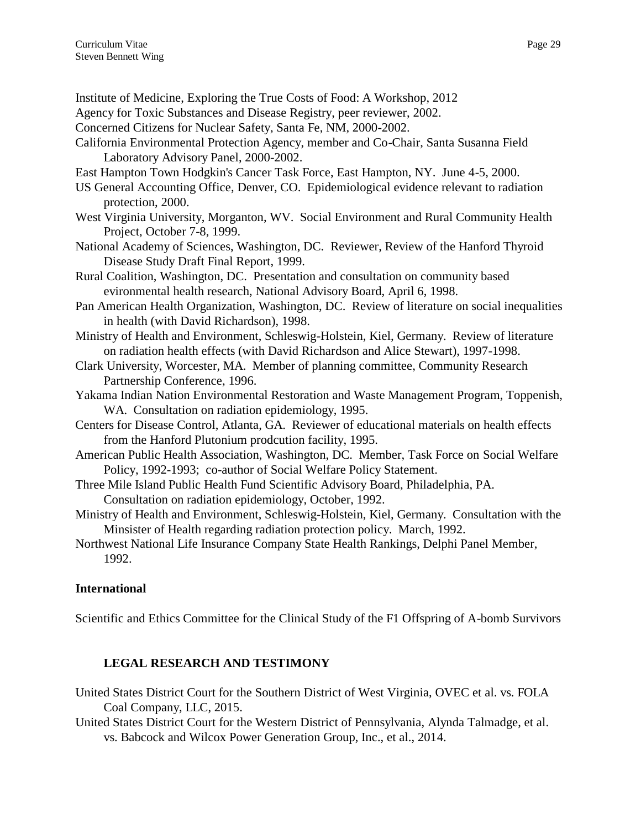- Institute of Medicine, Exploring the True Costs of Food: A Workshop, 2012
- Agency for Toxic Substances and Disease Registry, peer reviewer, 2002.
- Concerned Citizens for Nuclear Safety, Santa Fe, NM, 2000-2002.
- California Environmental Protection Agency, member and Co-Chair, Santa Susanna Field Laboratory Advisory Panel, 2000-2002.
- East Hampton Town Hodgkin's Cancer Task Force, East Hampton, NY. June 4-5, 2000.
- US General Accounting Office, Denver, CO. Epidemiological evidence relevant to radiation protection, 2000.
- West Virginia University, Morganton, WV. Social Environment and Rural Community Health Project, October 7-8, 1999.
- National Academy of Sciences, Washington, DC. Reviewer, Review of the Hanford Thyroid Disease Study Draft Final Report, 1999.
- Rural Coalition, Washington, DC. Presentation and consultation on community based evironmental health research, National Advisory Board, April 6, 1998.
- Pan American Health Organization, Washington, DC. Review of literature on social inequalities in health (with David Richardson), 1998.
- Ministry of Health and Environment, Schleswig-Holstein, Kiel, Germany. Review of literature on radiation health effects (with David Richardson and Alice Stewart), 1997-1998.
- Clark University, Worcester, MA. Member of planning committee, Community Research Partnership Conference, 1996.
- Yakama Indian Nation Environmental Restoration and Waste Management Program, Toppenish, WA. Consultation on radiation epidemiology, 1995.
- Centers for Disease Control, Atlanta, GA. Reviewer of educational materials on health effects from the Hanford Plutonium prodcution facility, 1995.
- American Public Health Association, Washington, DC. Member, Task Force on Social Welfare Policy, 1992-1993; co-author of Social Welfare Policy Statement.
- Three Mile Island Public Health Fund Scientific Advisory Board, Philadelphia, PA. Consultation on radiation epidemiology, October, 1992.
- Ministry of Health and Environment, Schleswig-Holstein, Kiel, Germany. Consultation with the Minsister of Health regarding radiation protection policy. March, 1992.
- Northwest National Life Insurance Company State Health Rankings, Delphi Panel Member, 1992.

## **International**

Scientific and Ethics Committee for the Clinical Study of the F1 Offspring of A-bomb Survivors

# **LEGAL RESEARCH AND TESTIMONY**

- United States District Court for the Southern District of West Virginia, OVEC et al. vs. FOLA Coal Company, LLC, 2015.
- United States District Court for the Western District of Pennsylvania, Alynda Talmadge, et al. vs. Babcock and Wilcox Power Generation Group, Inc., et al., 2014.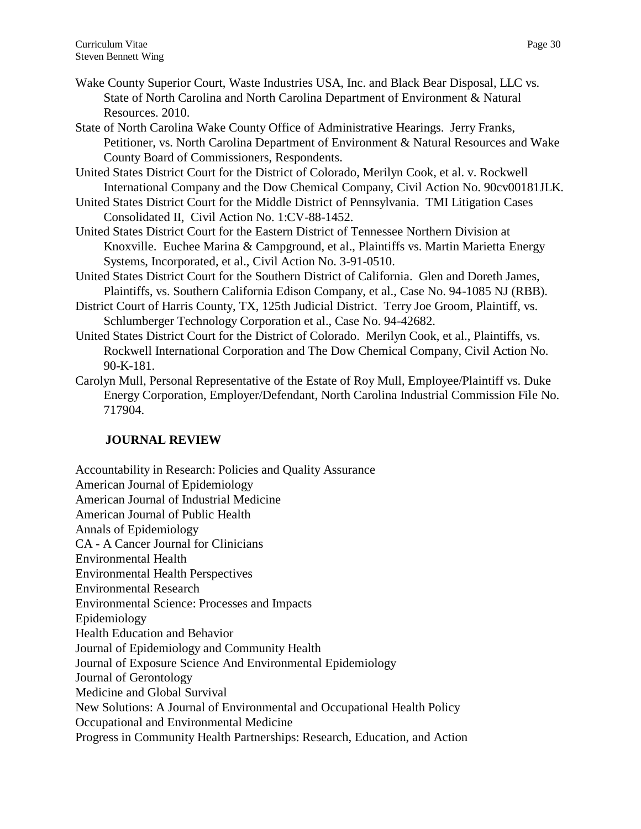- Wake County Superior Court, Waste Industries USA, Inc. and Black Bear Disposal, LLC vs. State of North Carolina and North Carolina Department of Environment & Natural Resources. 2010.
- State of North Carolina Wake County Office of Administrative Hearings. Jerry Franks, Petitioner, vs. North Carolina Department of Environment & Natural Resources and Wake County Board of Commissioners, Respondents.
- United States District Court for the District of Colorado, Merilyn Cook, et al. v. Rockwell International Company and the Dow Chemical Company, Civil Action No. 90cv00181JLK.
- United States District Court for the Middle District of Pennsylvania. TMI Litigation Cases Consolidated II, Civil Action No. 1:CV-88-1452.
- United States District Court for the Eastern District of Tennessee Northern Division at Knoxville. Euchee Marina & Campground, et al., Plaintiffs vs. Martin Marietta Energy Systems, Incorporated, et al., Civil Action No. 3-91-0510.
- United States District Court for the Southern District of California. Glen and Doreth James, Plaintiffs, vs. Southern California Edison Company, et al., Case No. 94-1085 NJ (RBB).
- District Court of Harris County, TX, 125th Judicial District. Terry Joe Groom, Plaintiff, vs. Schlumberger Technology Corporation et al., Case No. 94-42682.
- United States District Court for the District of Colorado. Merilyn Cook, et al., Plaintiffs, vs. Rockwell International Corporation and The Dow Chemical Company, Civil Action No. 90-K-181.
- Carolyn Mull, Personal Representative of the Estate of Roy Mull, Employee/Plaintiff vs. Duke Energy Corporation, Employer/Defendant, North Carolina Industrial Commission File No. 717904.

# **JOURNAL REVIEW**

Accountability in Research: Policies and Quality Assurance American Journal of Epidemiology American Journal of Industrial Medicine American Journal of Public Health Annals of Epidemiology CA - A Cancer Journal for Clinicians Environmental Health Environmental Health Perspectives Environmental Research Environmental Science: Processes and Impacts Epidemiology Health Education and Behavior Journal of Epidemiology and Community Health Journal of Exposure Science And Environmental Epidemiology Journal of Gerontology Medicine and Global Survival New Solutions: A Journal of Environmental and Occupational Health Policy Occupational and Environmental Medicine Progress in Community Health Partnerships: Research, Education, and Action